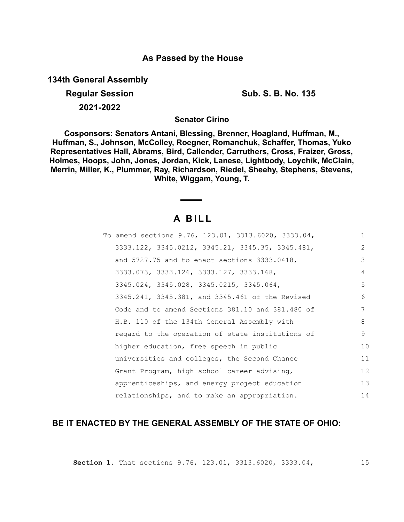## **As Passed by the House**

**134th General Assembly**

**Regular Session Sub. S. B. No. 135 2021-2022**

**Senator Cirino**

**Cosponsors: Senators Antani, Blessing, Brenner, Hoagland, Huffman, M., Huffman, S., Johnson, McColley, Roegner, Romanchuk, Schaffer, Thomas, Yuko Representatives Hall, Abrams, Bird, Callender, Carruthers, Cross, Fraizer, Gross, Holmes, Hoops, John, Jones, Jordan, Kick, Lanese, Lightbody, Loychik, McClain, Merrin, Miller, K., Plummer, Ray, Richardson, Riedel, Sheehy, Stephens, Stevens, White, Wiggam, Young, T.**

# **A B I L L**

| To amend sections 9.76, 123.01, 3313.6020, 3333.04, | $\mathbf{1}$   |
|-----------------------------------------------------|----------------|
| 3333.122, 3345.0212, 3345.21, 3345.35, 3345.481,    | 2              |
| and $5727.75$ and to enact sections $3333.0418$ ,   | 3              |
| 3333.073, 3333.126, 3333.127, 3333.168,             | $\overline{A}$ |
| 3345.024, 3345.028, 3345.0215, 3345.064,            | 5              |
| 3345.241, 3345.381, and 3345.461 of the Revised     | 6              |
| Code and to amend Sections 381.10 and 381.480 of    | 7              |
| H.B. 110 of the 134th General Assembly with         | 8              |
| regard to the operation of state institutions of    | 9              |
| higher education, free speech in public             | 10             |
| universities and colleges, the Second Chance        | 11             |
| Grant Program, high school career advising,         | 12             |
| apprenticeships, and energy project education       | 13             |
| relationships, and to make an appropriation.        | 14             |

## **BE IT ENACTED BY THE GENERAL ASSEMBLY OF THE STATE OF OHIO:**

**Section 1.** That sections 9.76, 123.01, 3313.6020, 3333.04,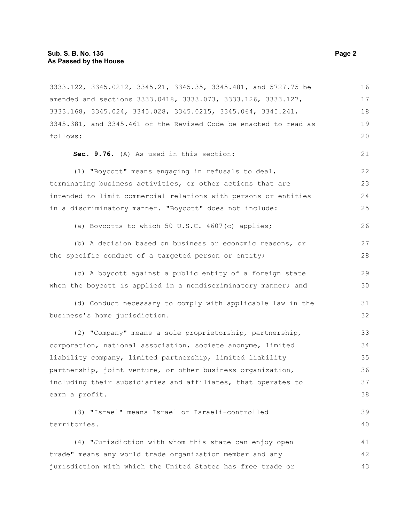3333.122, 3345.0212, 3345.21, 3345.35, 3345.481, and 5727.75 be amended and sections 3333.0418, 3333.073, 3333.126, 3333.127, 3333.168, 3345.024, 3345.028, 3345.0215, 3345.064, 3345.241, 3345.381, and 3345.461 of the Revised Code be enacted to read as follows: **Sec. 9.76.** (A) As used in this section: (1) "Boycott" means engaging in refusals to deal, terminating business activities, or other actions that are intended to limit commercial relations with persons or entities in a discriminatory manner. "Boycott" does not include: (a) Boycotts to which 50 U.S.C. 4607(c) applies; (b) A decision based on business or economic reasons, or the specific conduct of a targeted person or entity; (c) A boycott against a public entity of a foreign state when the boycott is applied in a nondiscriminatory manner; and (d) Conduct necessary to comply with applicable law in the business's home jurisdiction. (2) "Company" means a sole proprietorship, partnership, corporation, national association, societe anonyme, limited liability company, limited partnership, limited liability partnership, joint venture, or other business organization, including their subsidiaries and affiliates, that operates to earn a profit. (3) "Israel" means Israel or Israeli-controlled territories. (4) "Jurisdiction with whom this state can enjoy open trade" means any world trade organization member and any jurisdiction with which the United States has free trade or 16 17 18 19  $20$ 21 22 23 24 25 26 27 28 29 30 31 32 33 34 35 36 37 38 39 40 41 42 43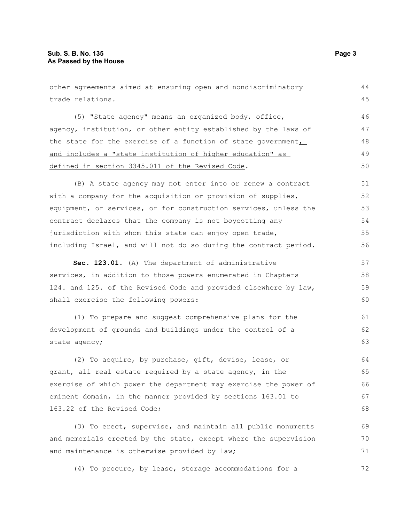other agreements aimed at ensuring open and nondiscriminatory trade relations. (5) "State agency" means an organized body, office, agency, institution, or other entity established by the laws of the state for the exercise of a function of state government $\overline{L}$ and includes a "state institution of higher education" as defined in section 3345.011 of the Revised Code. (B) A state agency may not enter into or renew a contract with a company for the acquisition or provision of supplies, equipment, or services, or for construction services, unless the contract declares that the company is not boycotting any jurisdiction with whom this state can enjoy open trade, including Israel, and will not do so during the contract period. **Sec. 123.01.** (A) The department of administrative services, in addition to those powers enumerated in Chapters 124. and 125. of the Revised Code and provided elsewhere by law, shall exercise the following powers: (1) To prepare and suggest comprehensive plans for the development of grounds and buildings under the control of a state agency; (2) To acquire, by purchase, gift, devise, lease, or grant, all real estate required by a state agency, in the exercise of which power the department may exercise the power of eminent domain, in the manner provided by sections 163.01 to 163.22 of the Revised Code; (3) To erect, supervise, and maintain all public monuments and memorials erected by the state, except where the supervision and maintenance is otherwise provided by law; 44 45 46 47 48 49 50 51 52 53 54 55 56 57 58 59 60 61 62 63 64 65 66 67 68 69 70 71

(4) To procure, by lease, storage accommodations for a 72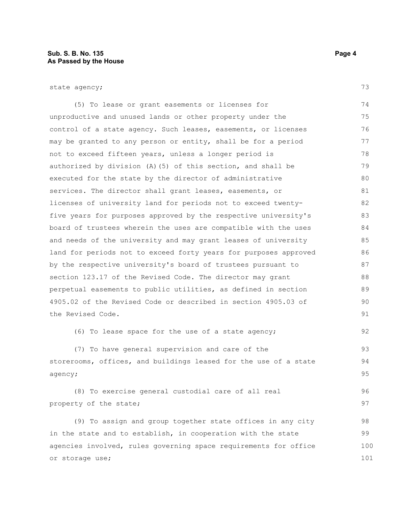state agency;

(5) To lease or grant easements or licenses for unproductive and unused lands or other property under the control of a state agency. Such leases, easements, or licenses may be granted to any person or entity, shall be for a period not to exceed fifteen years, unless a longer period is authorized by division (A)(5) of this section, and shall be executed for the state by the director of administrative services. The director shall grant leases, easements, or licenses of university land for periods not to exceed twentyfive years for purposes approved by the respective university's board of trustees wherein the uses are compatible with the uses and needs of the university and may grant leases of university land for periods not to exceed forty years for purposes approved by the respective university's board of trustees pursuant to section 123.17 of the Revised Code. The director may grant perpetual easements to public utilities, as defined in section 4905.02 of the Revised Code or described in section 4905.03 of the Revised Code. 74 75 76 77 78 79 80 81 82 83 84 85 86 87 88 89 90 91

(6) To lease space for the use of a state agency;

(7) To have general supervision and care of the storerooms, offices, and buildings leased for the use of a state agency;

(8) To exercise general custodial care of all real property of the state; 96 97

(9) To assign and group together state offices in any city in the state and to establish, in cooperation with the state agencies involved, rules governing space requirements for office or storage use; 98 99 100 101

73

92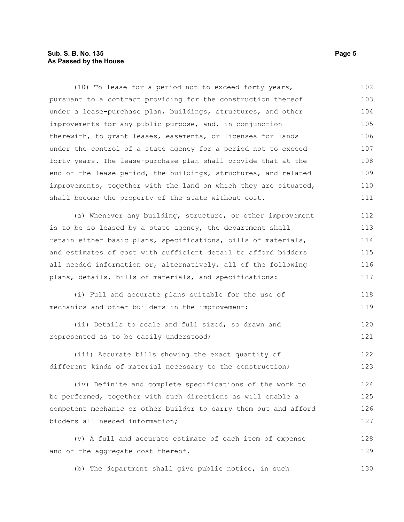#### **Sub. S. B. No. 135** Page 5 **As Passed by the House**

(10) To lease for a period not to exceed forty years, pursuant to a contract providing for the construction thereof under a lease-purchase plan, buildings, structures, and other improvements for any public purpose, and, in conjunction therewith, to grant leases, easements, or licenses for lands under the control of a state agency for a period not to exceed forty years. The lease-purchase plan shall provide that at the end of the lease period, the buildings, structures, and related improvements, together with the land on which they are situated, shall become the property of the state without cost. 102 103 104 105 106 107 108 109 110 111

(a) Whenever any building, structure, or other improvement is to be so leased by a state agency, the department shall retain either basic plans, specifications, bills of materials, and estimates of cost with sufficient detail to afford bidders all needed information or, alternatively, all of the following plans, details, bills of materials, and specifications: 112 113 114 115 116 117

(i) Full and accurate plans suitable for the use of mechanics and other builders in the improvement; 118 119

(ii) Details to scale and full sized, so drawn and represented as to be easily understood; 120 121

(iii) Accurate bills showing the exact quantity of different kinds of material necessary to the construction; 122 123

(iv) Definite and complete specifications of the work to be performed, together with such directions as will enable a competent mechanic or other builder to carry them out and afford bidders all needed information; 124 125 126 127

(v) A full and accurate estimate of each item of expense and of the aggregate cost thereof. 128 129

(b) The department shall give public notice, in such 130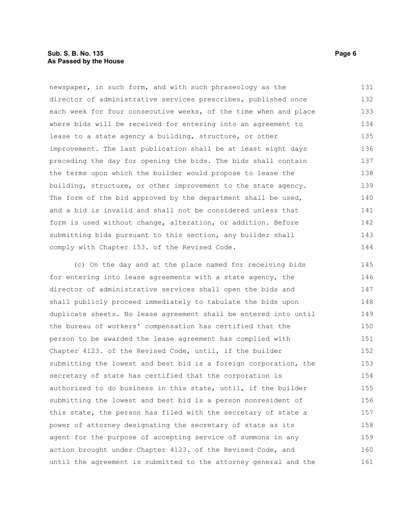#### **Sub. S. B. No. 135** Page 6 **As Passed by the House**

newspaper, in such form, and with such phraseology as the director of administrative services prescribes, published once each week for four consecutive weeks, of the time when and place where bids will be received for entering into an agreement to lease to a state agency a building, structure, or other improvement. The last publication shall be at least eight days preceding the day for opening the bids. The bids shall contain the terms upon which the builder would propose to lease the building, structure, or other improvement to the state agency. The form of the bid approved by the department shall be used, and a bid is invalid and shall not be considered unless that form is used without change, alteration, or addition. Before submitting bids pursuant to this section, any builder shall comply with Chapter 153. of the Revised Code. 131 132 133 134 135 136 137 138 139 140 141 142 143 144

(c) On the day and at the place named for receiving bids for entering into lease agreements with a state agency, the director of administrative services shall open the bids and shall publicly proceed immediately to tabulate the bids upon duplicate sheets. No lease agreement shall be entered into until the bureau of workers' compensation has certified that the person to be awarded the lease agreement has complied with Chapter 4123. of the Revised Code, until, if the builder submitting the lowest and best bid is a foreign corporation, the secretary of state has certified that the corporation is authorized to do business in this state, until, if the builder submitting the lowest and best bid is a person nonresident of this state, the person has filed with the secretary of state a power of attorney designating the secretary of state as its agent for the purpose of accepting service of summons in any action brought under Chapter 4123. of the Revised Code, and until the agreement is submitted to the attorney general and the 145 146 147 148 149 150 151 152 153 154 155 156 157 158 159 160 161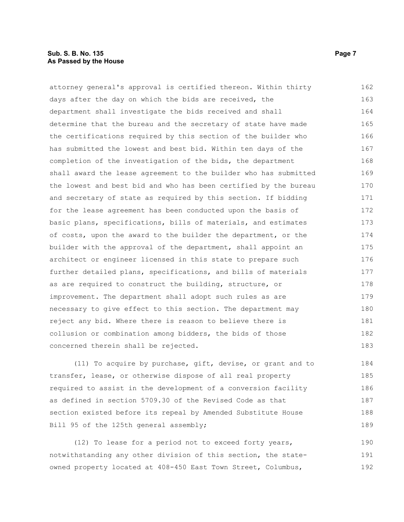#### **Sub. S. B. No. 135** Page 7 **As Passed by the House**

attorney general's approval is certified thereon. Within thirty days after the day on which the bids are received, the department shall investigate the bids received and shall determine that the bureau and the secretary of state have made the certifications required by this section of the builder who has submitted the lowest and best bid. Within ten days of the completion of the investigation of the bids, the department shall award the lease agreement to the builder who has submitted the lowest and best bid and who has been certified by the bureau and secretary of state as required by this section. If bidding for the lease agreement has been conducted upon the basis of basic plans, specifications, bills of materials, and estimates of costs, upon the award to the builder the department, or the builder with the approval of the department, shall appoint an architect or engineer licensed in this state to prepare such further detailed plans, specifications, and bills of materials as are required to construct the building, structure, or improvement. The department shall adopt such rules as are necessary to give effect to this section. The department may reject any bid. Where there is reason to believe there is collusion or combination among bidders, the bids of those concerned therein shall be rejected. 162 163 164 165 166 167 168 169 170 171 172 173 174 175 176 177 178 179 180 181 182 183

(11) To acquire by purchase, gift, devise, or grant and to transfer, lease, or otherwise dispose of all real property required to assist in the development of a conversion facility as defined in section 5709.30 of the Revised Code as that section existed before its repeal by Amended Substitute House Bill 95 of the 125th general assembly; 184 185 186 187 188 189

(12) To lease for a period not to exceed forty years, notwithstanding any other division of this section, the stateowned property located at 408-450 East Town Street, Columbus, 190 191 192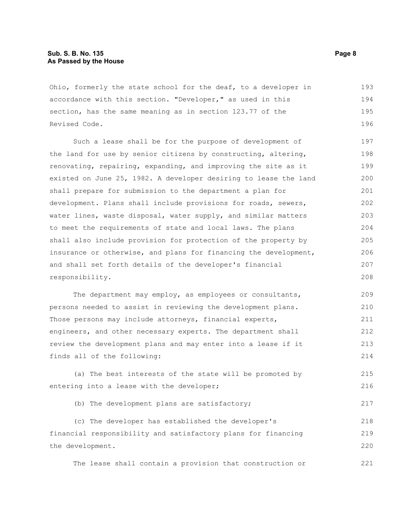#### **Sub. S. B. No. 135** Page 8 **As Passed by the House**

Ohio, formerly the state school for the deaf, to a developer in accordance with this section. "Developer," as used in this section, has the same meaning as in section 123.77 of the Revised Code. 193 194 195 196

Such a lease shall be for the purpose of development of the land for use by senior citizens by constructing, altering, renovating, repairing, expanding, and improving the site as it existed on June 25, 1982. A developer desiring to lease the land shall prepare for submission to the department a plan for development. Plans shall include provisions for roads, sewers, water lines, waste disposal, water supply, and similar matters to meet the requirements of state and local laws. The plans shall also include provision for protection of the property by insurance or otherwise, and plans for financing the development, and shall set forth details of the developer's financial responsibility. 197 198 199 200 201 202 203 204 205 206 207 208

The department may employ, as employees or consultants, persons needed to assist in reviewing the development plans. Those persons may include attorneys, financial experts, engineers, and other necessary experts. The department shall review the development plans and may enter into a lease if it finds all of the following: 209 210 211 212 213 214

(a) The best interests of the state will be promoted by entering into a lease with the developer; 215 216

(b) The development plans are satisfactory;

(c) The developer has established the developer's financial responsibility and satisfactory plans for financing the development. 218 219 220

The lease shall contain a provision that construction or 221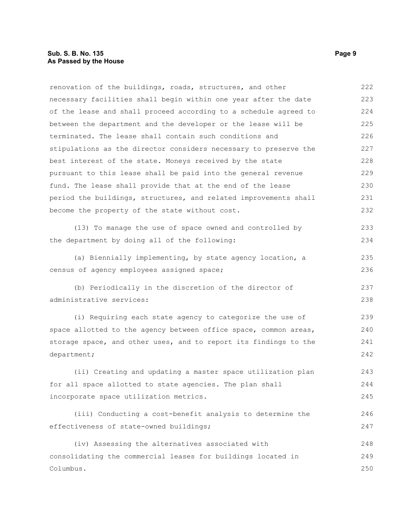renovation of the buildings, roads, structures, and other necessary facilities shall begin within one year after the date of the lease and shall proceed according to a schedule agreed to between the department and the developer or the lease will be terminated. The lease shall contain such conditions and stipulations as the director considers necessary to preserve the best interest of the state. Moneys received by the state pursuant to this lease shall be paid into the general revenue fund. The lease shall provide that at the end of the lease period the buildings, structures, and related improvements shall become the property of the state without cost. (13) To manage the use of space owned and controlled by 222 223 224 225 226 227 228 229 230 231 232 233

(a) Biennially implementing, by state agency location, a census of agency employees assigned space; 235 236

the department by doing all of the following:

(b) Periodically in the discretion of the director of administrative services: 237 238

(i) Requiring each state agency to categorize the use of space allotted to the agency between office space, common areas, storage space, and other uses, and to report its findings to the department; 239 240 241 242

(ii) Creating and updating a master space utilization plan for all space allotted to state agencies. The plan shall incorporate space utilization metrics. 243 244 245

(iii) Conducting a cost-benefit analysis to determine the effectiveness of state-owned buildings;

(iv) Assessing the alternatives associated with consolidating the commercial leases for buildings located in Columbus. 248 249 250

234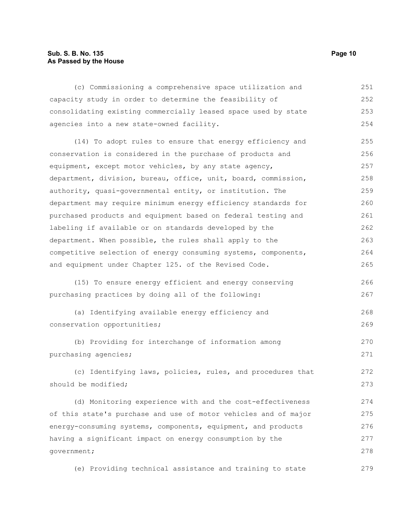#### **Sub. S. B. No. 135 Page 10 As Passed by the House**

(c) Commissioning a comprehensive space utilization and capacity study in order to determine the feasibility of consolidating existing commercially leased space used by state agencies into a new state-owned facility. (14) To adopt rules to ensure that energy efficiency and conservation is considered in the purchase of products and equipment, except motor vehicles, by any state agency, department, division, bureau, office, unit, board, commission, authority, quasi-governmental entity, or institution. The department may require minimum energy efficiency standards for purchased products and equipment based on federal testing and labeling if available or on standards developed by the department. When possible, the rules shall apply to the competitive selection of energy consuming systems, components, and equipment under Chapter 125. of the Revised Code. (15) To ensure energy efficient and energy conserving purchasing practices by doing all of the following: (a) Identifying available energy efficiency and conservation opportunities; (b) Providing for interchange of information among purchasing agencies; (c) Identifying laws, policies, rules, and procedures that should be modified; 251 252 253 254 255 256 257 258 259 260 261 262 263 264 265 266 267 268 269 270 271 272 273

(d) Monitoring experience with and the cost-effectiveness of this state's purchase and use of motor vehicles and of major energy-consuming systems, components, equipment, and products having a significant impact on energy consumption by the government; 274 275 276 277 278

(e) Providing technical assistance and training to state 279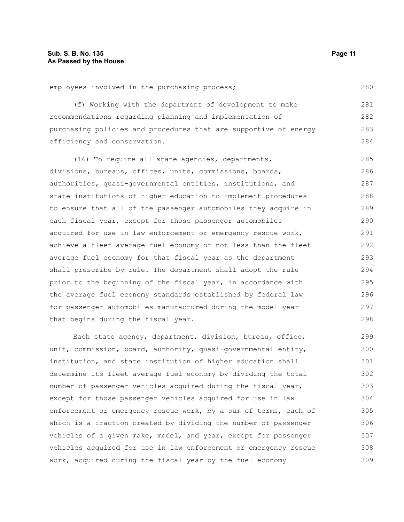280

employees involved in the purchasing process;

(f) Working with the department of development to make recommendations regarding planning and implementation of purchasing policies and procedures that are supportive of energy efficiency and conservation. 281 282 283 284

(16) To require all state agencies, departments, divisions, bureaus, offices, units, commissions, boards, authorities, quasi-governmental entities, institutions, and state institutions of higher education to implement procedures to ensure that all of the passenger automobiles they acquire in each fiscal year, except for those passenger automobiles acquired for use in law enforcement or emergency rescue work, achieve a fleet average fuel economy of not less than the fleet average fuel economy for that fiscal year as the department shall prescribe by rule. The department shall adopt the rule prior to the beginning of the fiscal year, in accordance with the average fuel economy standards established by federal law for passenger automobiles manufactured during the model year that begins during the fiscal year. 285 286 287 288 289 290 291 292 293 294 295 296 297 298

Each state agency, department, division, bureau, office, unit, commission, board, authority, quasi-governmental entity, institution, and state institution of higher education shall determine its fleet average fuel economy by dividing the total number of passenger vehicles acquired during the fiscal year, except for those passenger vehicles acquired for use in law enforcement or emergency rescue work, by a sum of terms, each of which is a fraction created by dividing the number of passenger vehicles of a given make, model, and year, except for passenger vehicles acquired for use in law enforcement or emergency rescue work, acquired during the fiscal year by the fuel economy 299 300 301 302 303 304 305 306 307 308 309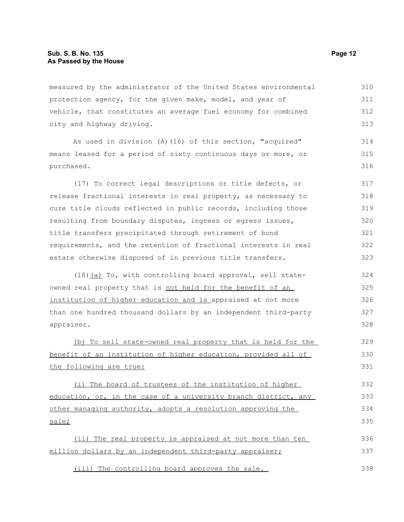measured by the administrator of the United States environmental protection agency, for the given make, model, and year of vehicle, that constitutes an average fuel economy for combined city and highway driving. 310 311 312 313

As used in division (A)(16) of this section, "acquired" means leased for a period of sixty continuous days or more, or purchased.

(17) To correct legal descriptions or title defects, or release fractional interests in real property, as necessary to cure title clouds reflected in public records, including those resulting from boundary disputes, ingress or egress issues, title transfers precipitated through retirement of bond requirements, and the retention of fractional interests in real estate otherwise disposed of in previous title transfers. 317 318 319 320 321 322 323

(18)(a) To, with controlling board approval, sell stateowned real property that is not held for the benefit of an institution of higher education and is appraised at not more than one hundred thousand dollars by an independent third-party appraiser. 324 325 326 327 328

(b) To sell state-owned real property that is held for the benefit of an institution of higher education, provided all of the following are true:

(i) The board of trustees of the institution of higher education, or, in the case of a university branch district, any other managing authority, adopts a resolution approving the sale; 332 333 334 335

(ii) The real property is appraised at not more than ten million dollars by an independent third-party appraiser; 336 337

(iii) The controlling board approves the sale. 338

314 315 316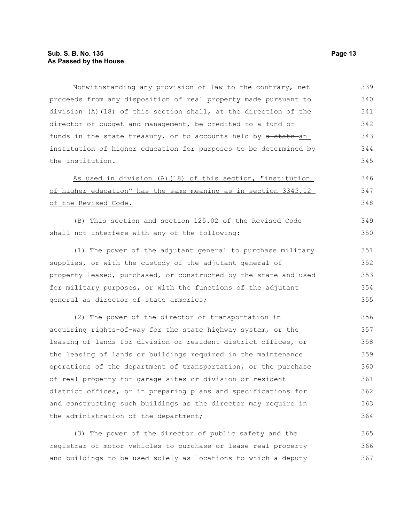Notwithstanding any provision of law to the contrary, net proceeds from any disposition of real property made pursuant to division (A)(18) of this section shall, at the direction of the director of budget and management, be credited to a fund or funds in the state treasury, or to accounts held by a state an institution of higher education for purposes to be determined by the institution. 339 340 341 342 343 344 345

As used in division (A)(18) of this section, "institution of higher education" has the same meaning as in section 3345.12 of the Revised Code. 346 347 348

(B) This section and section 125.02 of the Revised Code shall not interfere with any of the following: 349 350

(1) The power of the adjutant general to purchase military supplies, or with the custody of the adjutant general of property leased, purchased, or constructed by the state and used for military purposes, or with the functions of the adjutant general as director of state armories;

(2) The power of the director of transportation in acquiring rights-of-way for the state highway system, or the leasing of lands for division or resident district offices, or the leasing of lands or buildings required in the maintenance operations of the department of transportation, or the purchase of real property for garage sites or division or resident district offices, or in preparing plans and specifications for and constructing such buildings as the director may require in the administration of the department; 356 357 358 359 360 361 362 363 364

(3) The power of the director of public safety and the registrar of motor vehicles to purchase or lease real property and buildings to be used solely as locations to which a deputy 365 366 367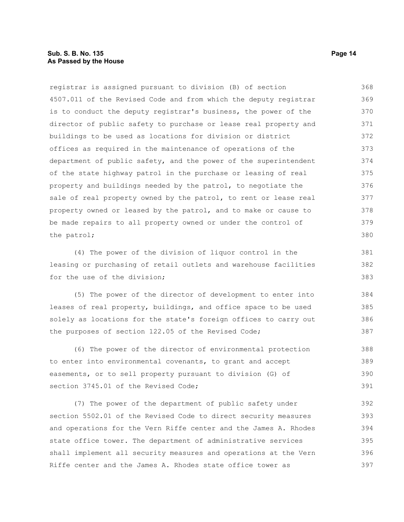#### **Sub. S. B. No. 135 Page 14 As Passed by the House**

registrar is assigned pursuant to division (B) of section 4507.011 of the Revised Code and from which the deputy registrar is to conduct the deputy registrar's business, the power of the director of public safety to purchase or lease real property and buildings to be used as locations for division or district offices as required in the maintenance of operations of the department of public safety, and the power of the superintendent of the state highway patrol in the purchase or leasing of real property and buildings needed by the patrol, to negotiate the sale of real property owned by the patrol, to rent or lease real property owned or leased by the patrol, and to make or cause to be made repairs to all property owned or under the control of the patrol; 368 369 370 371 372 373 374 375 376 377 378 379 380

(4) The power of the division of liquor control in the leasing or purchasing of retail outlets and warehouse facilities for the use of the division;

(5) The power of the director of development to enter into leases of real property, buildings, and office space to be used solely as locations for the state's foreign offices to carry out the purposes of section 122.05 of the Revised Code; 384 385 386 387

(6) The power of the director of environmental protection to enter into environmental covenants, to grant and accept easements, or to sell property pursuant to division (G) of section 3745.01 of the Revised Code: 388 389 390 391

(7) The power of the department of public safety under section 5502.01 of the Revised Code to direct security measures and operations for the Vern Riffe center and the James A. Rhodes state office tower. The department of administrative services shall implement all security measures and operations at the Vern Riffe center and the James A. Rhodes state office tower as 392 393 394 395 396 397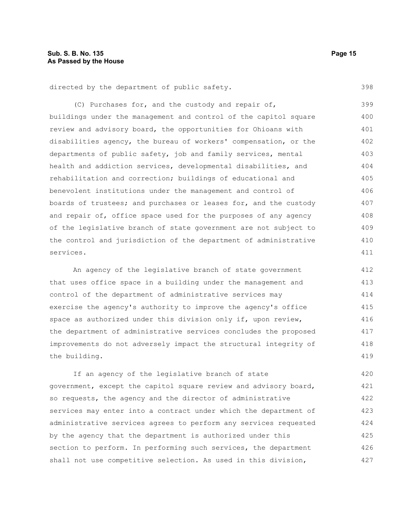398

directed by the department of public safety.

(C) Purchases for, and the custody and repair of, buildings under the management and control of the capitol square review and advisory board, the opportunities for Ohioans with disabilities agency, the bureau of workers' compensation, or the departments of public safety, job and family services, mental health and addiction services, developmental disabilities, and rehabilitation and correction; buildings of educational and benevolent institutions under the management and control of boards of trustees; and purchases or leases for, and the custody and repair of, office space used for the purposes of any agency of the legislative branch of state government are not subject to the control and jurisdiction of the department of administrative services. 399 400 401 402 403 404 405 406 407 408 409 410 411

An agency of the legislative branch of state government that uses office space in a building under the management and control of the department of administrative services may exercise the agency's authority to improve the agency's office space as authorized under this division only if, upon review, the department of administrative services concludes the proposed improvements do not adversely impact the structural integrity of the building. 412 413 414 415 416 417 418 419

If an agency of the legislative branch of state government, except the capitol square review and advisory board, so requests, the agency and the director of administrative services may enter into a contract under which the department of administrative services agrees to perform any services requested by the agency that the department is authorized under this section to perform. In performing such services, the department shall not use competitive selection. As used in this division, 420 421 422 423 424 425 426 427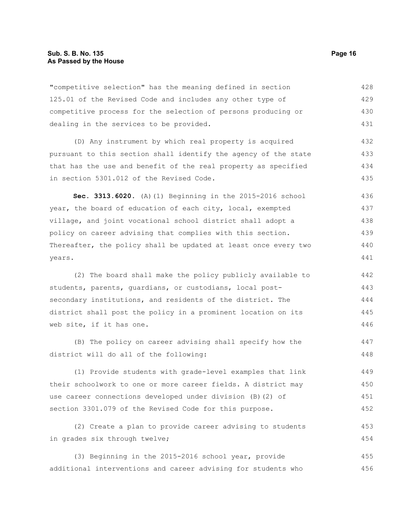"competitive selection" has the meaning defined in section 125.01 of the Revised Code and includes any other type of competitive process for the selection of persons producing or dealing in the services to be provided. 428 429 430 431

(D) Any instrument by which real property is acquired pursuant to this section shall identify the agency of the state that has the use and benefit of the real property as specified in section 5301.012 of the Revised Code. 432 433 434 435

**Sec. 3313.6020.** (A)(1) Beginning in the 2015-2016 school year, the board of education of each city, local, exempted village, and joint vocational school district shall adopt a policy on career advising that complies with this section. Thereafter, the policy shall be updated at least once every two years. 436 437 438 439 440 441

(2) The board shall make the policy publicly available to students, parents, guardians, or custodians, local postsecondary institutions, and residents of the district. The district shall post the policy in a prominent location on its web site, if it has one. 442 443 444 445 446

(B) The policy on career advising shall specify how the district will do all of the following: 447 448

(1) Provide students with grade-level examples that link their schoolwork to one or more career fields. A district may use career connections developed under division (B)(2) of section 3301.079 of the Revised Code for this purpose. 449 450 451 452

(2) Create a plan to provide career advising to students in grades six through twelve; 453

(3) Beginning in the 2015-2016 school year, provide additional interventions and career advising for students who 455 456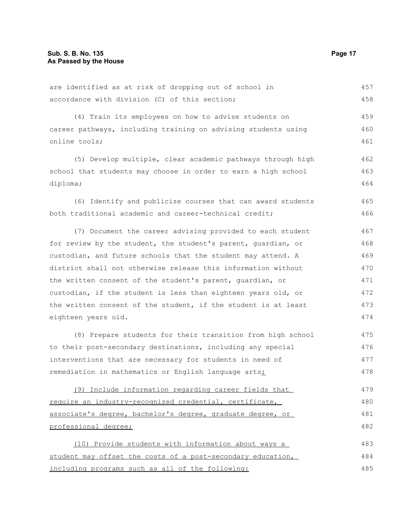are identified as at risk of dropping out of school in accordance with division (C) of this section; (4) Train its employees on how to advise students on career pathways, including training on advising students using online tools; (5) Develop multiple, clear academic pathways through high school that students may choose in order to earn a high school diploma; (6) Identify and publicize courses that can award students both traditional academic and career-technical credit; (7) Document the career advising provided to each student for review by the student, the student's parent, guardian, or custodian, and future schools that the student may attend. A district shall not otherwise release this information without the written consent of the student's parent, guardian, or custodian, if the student is less than eighteen years old, or the written consent of the student, if the student is at least eighteen years old. (8) Prepare students for their transition from high school to their post-secondary destinations, including any special interventions that are necessary for students in need of remediation in mathematics or English language arts; 457 458 459 460 461 462 463 464 465 466 467 468 469 470 471 472 473 474 475 476 477 478

(9) Include information regarding career fields that require an industry-recognized credential, certificate, associate's degree, bachelor's degree, graduate degree, or professional degree; 479 480 481 482

(10) Provide students with information about ways a student may offset the costs of a post-secondary education, including programs such as all of the following: 483 484 485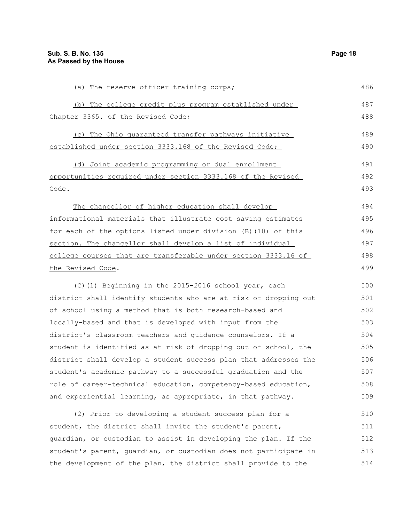| (a) The reserve officer training corps;                          | 486 |
|------------------------------------------------------------------|-----|
| (b) The college credit plus program established under            | 487 |
| Chapter 3365. of the Revised Code;                               | 488 |
| (c) The Ohio quaranteed transfer pathways initiative             | 489 |
| established under section 3333.168 of the Revised Code;          | 490 |
| (d) Joint academic programming or dual enrollment                | 491 |
| opportunities required under section 3333.168 of the Revised     | 492 |
| Code.                                                            | 493 |
| The chancellor of higher education shall develop                 | 494 |
| informational materials that illustrate cost saving estimates    | 495 |
| for each of the options listed under division (B) (10) of this   | 496 |
| section. The chancellor shall develop a list of individual       | 497 |
| college courses that are transferable under section 3333.16 of   | 498 |
| the Revised Code.                                                | 499 |
| (C)(1) Beginning in the 2015-2016 school year, each              | 500 |
| district shall identify students who are at risk of dropping out | 501 |
| of school using a method that is both research-based and         | 502 |
| locally-based and that is developed with input from the          | 503 |
| district's classroom teachers and guidance counselors. If a      | 504 |
| student is identified as at risk of dropping out of school, the  | 505 |
| district shall develop a student success plan that addresses the | 506 |
| student's academic pathway to a successful graduation and the    | 507 |
| role of career-technical education, competency-based education,  | 508 |
| and experiential learning, as appropriate, in that pathway.      | 509 |
| (2) Prior to developing a student success plan for a             | 510 |
| student, the district shall invite the student's parent,         | 511 |
| guardian, or custodian to assist in developing the plan. If the  | 512 |
| student's parent, quardian, or custodian does not participate in | 513 |
| the development of the plan, the district shall provide to the   | 514 |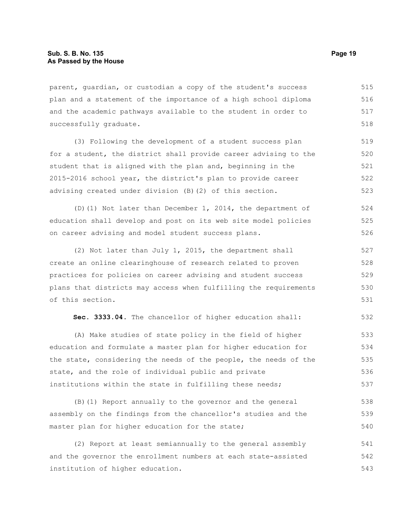parent, guardian, or custodian a copy of the student's success plan and a statement of the importance of a high school diploma and the academic pathways available to the student in order to successfully graduate. 515 516 517 518

(3) Following the development of a student success plan for a student, the district shall provide career advising to the student that is aligned with the plan and, beginning in the 2015-2016 school year, the district's plan to provide career advising created under division (B)(2) of this section. 519 520 521 522 523

(D)(1) Not later than December 1, 2014, the department of education shall develop and post on its web site model policies on career advising and model student success plans. 524 525 526

(2) Not later than July 1, 2015, the department shall create an online clearinghouse of research related to proven practices for policies on career advising and student success plans that districts may access when fulfilling the requirements of this section. 527 528 529 530 531

**Sec. 3333.04.** The chancellor of higher education shall: 532

(A) Make studies of state policy in the field of higher education and formulate a master plan for higher education for the state, considering the needs of the people, the needs of the state, and the role of individual public and private institutions within the state in fulfilling these needs; 533 534 535 536 537

(B)(1) Report annually to the governor and the general assembly on the findings from the chancellor's studies and the master plan for higher education for the state; 538 539 540

(2) Report at least semiannually to the general assembly and the governor the enrollment numbers at each state-assisted institution of higher education. 541 542 543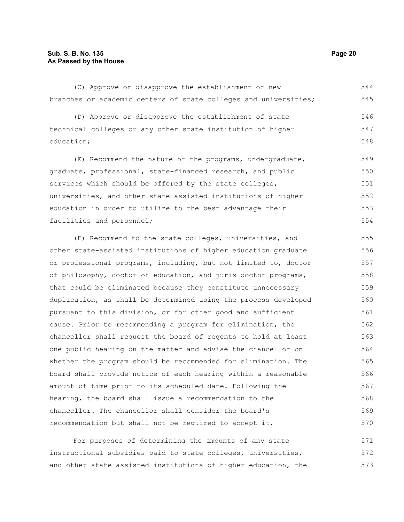#### **Sub. S. B. No. 135 Page 20 As Passed by the House**

(C) Approve or disapprove the establishment of new branches or academic centers of state colleges and universities; 544 545

(D) Approve or disapprove the establishment of state technical colleges or any other state institution of higher education; 546 547 548

(E) Recommend the nature of the programs, undergraduate, graduate, professional, state-financed research, and public services which should be offered by the state colleges, universities, and other state-assisted institutions of higher education in order to utilize to the best advantage their facilities and personnel; 549 550 551 552 553 554

(F) Recommend to the state colleges, universities, and other state-assisted institutions of higher education graduate or professional programs, including, but not limited to, doctor of philosophy, doctor of education, and juris doctor programs, that could be eliminated because they constitute unnecessary duplication, as shall be determined using the process developed pursuant to this division, or for other good and sufficient cause. Prior to recommending a program for elimination, the chancellor shall request the board of regents to hold at least one public hearing on the matter and advise the chancellor on whether the program should be recommended for elimination. The board shall provide notice of each hearing within a reasonable amount of time prior to its scheduled date. Following the hearing, the board shall issue a recommendation to the chancellor. The chancellor shall consider the board's recommendation but shall not be required to accept it. 555 556 557 558 559 560 561 562 563 564 565 566 567 568 569 570

For purposes of determining the amounts of any state instructional subsidies paid to state colleges, universities, and other state-assisted institutions of higher education, the 571 572 573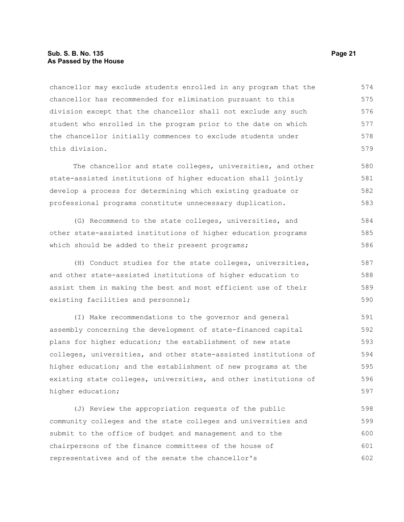#### **Sub. S. B. No. 135 Page 21 As Passed by the House**

chancellor may exclude students enrolled in any program that the chancellor has recommended for elimination pursuant to this division except that the chancellor shall not exclude any such student who enrolled in the program prior to the date on which the chancellor initially commences to exclude students under this division. 574 575 576 577 578 579

The chancellor and state colleges, universities, and other state-assisted institutions of higher education shall jointly develop a process for determining which existing graduate or professional programs constitute unnecessary duplication. 580 581 582 583

(G) Recommend to the state colleges, universities, and other state-assisted institutions of higher education programs which should be added to their present programs; 584 585 586

(H) Conduct studies for the state colleges, universities, and other state-assisted institutions of higher education to assist them in making the best and most efficient use of their existing facilities and personnel; 587 588 589 590

(I) Make recommendations to the governor and general assembly concerning the development of state-financed capital plans for higher education; the establishment of new state colleges, universities, and other state-assisted institutions of higher education; and the establishment of new programs at the existing state colleges, universities, and other institutions of higher education; 591 592 593 594 595 596 597

(J) Review the appropriation requests of the public community colleges and the state colleges and universities and submit to the office of budget and management and to the chairpersons of the finance committees of the house of representatives and of the senate the chancellor's 598 599 600 601 602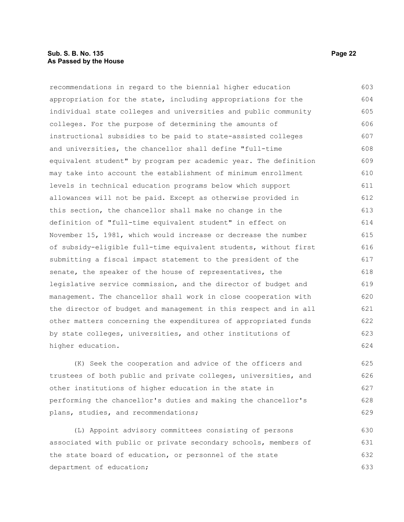recommendations in regard to the biennial higher education appropriation for the state, including appropriations for the individual state colleges and universities and public community colleges. For the purpose of determining the amounts of instructional subsidies to be paid to state-assisted colleges and universities, the chancellor shall define "full-time equivalent student" by program per academic year. The definition may take into account the establishment of minimum enrollment levels in technical education programs below which support allowances will not be paid. Except as otherwise provided in this section, the chancellor shall make no change in the definition of "full-time equivalent student" in effect on November 15, 1981, which would increase or decrease the number of subsidy-eligible full-time equivalent students, without first submitting a fiscal impact statement to the president of the senate, the speaker of the house of representatives, the legislative service commission, and the director of budget and management. The chancellor shall work in close cooperation with the director of budget and management in this respect and in all other matters concerning the expenditures of appropriated funds by state colleges, universities, and other institutions of higher education. 603 604 605 606 607 608 609 610 611 612 613 614 615 616 617 618 619 620 621 622 623 624

(K) Seek the cooperation and advice of the officers and trustees of both public and private colleges, universities, and other institutions of higher education in the state in performing the chancellor's duties and making the chancellor's plans, studies, and recommendations; 625 626 627 628 629

(L) Appoint advisory committees consisting of persons associated with public or private secondary schools, members of the state board of education, or personnel of the state department of education; 630 631 632 633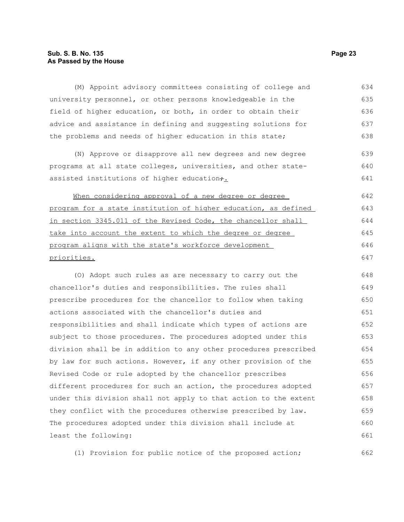#### **Sub. S. B. No. 135 Page 23 As Passed by the House**

(M) Appoint advisory committees consisting of college and university personnel, or other persons knowledgeable in the field of higher education, or both, in order to obtain their advice and assistance in defining and suggesting solutions for the problems and needs of higher education in this state; (N) Approve or disapprove all new degrees and new degree programs at all state colleges, universities, and other stateassisted institutions of higher education $\div$ . When considering approval of a new degree or degree program for a state institution of higher education, as defined in section 3345.011 of the Revised Code, the chancellor shall take into account the extent to which the degree or degree program aligns with the state's workforce development priorities. (O) Adopt such rules as are necessary to carry out the chancellor's duties and responsibilities. The rules shall prescribe procedures for the chancellor to follow when taking actions associated with the chancellor's duties and responsibilities and shall indicate which types of actions are subject to those procedures. The procedures adopted under this division shall be in addition to any other procedures prescribed by law for such actions. However, if any other provision of the Revised Code or rule adopted by the chancellor prescribes different procedures for such an action, the procedures adopted under this division shall not apply to that action to the extent they conflict with the procedures otherwise prescribed by law. The procedures adopted under this division shall include at least the following: 634 635 636 637 638 639 640 641 642 643 644 645 646 647 648 649 650 651 652 653 654 655 656 657 658 659 660 661

(1) Provision for public notice of the proposed action; 662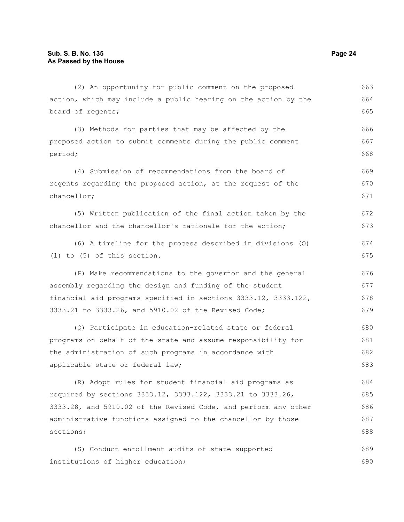sections;

action, which may include a public hearing on the action by the board of regents; (3) Methods for parties that may be affected by the proposed action to submit comments during the public comment period; (4) Submission of recommendations from the board of regents regarding the proposed action, at the request of the chancellor; (5) Written publication of the final action taken by the chancellor and the chancellor's rationale for the action; (6) A timeline for the process described in divisions (O) (1) to (5) of this section. (P) Make recommendations to the governor and the general assembly regarding the design and funding of the student financial aid programs specified in sections 3333.12, 3333.122, 3333.21 to 3333.26, and 5910.02 of the Revised Code; (Q) Participate in education-related state or federal programs on behalf of the state and assume responsibility for the administration of such programs in accordance with applicable state or federal law; (R) Adopt rules for student financial aid programs as required by sections 3333.12, 3333.122, 3333.21 to 3333.26, 3333.28, and 5910.02 of the Revised Code, and perform any other administrative functions assigned to the chancellor by those 664 665 666 667 668 669 670 671 672 673 674 675 676 677 678 679 680 681 682 683 684 685 686 687

(2) An opportunity for public comment on the proposed

(S) Conduct enrollment audits of state-supported institutions of higher education; 689 690

663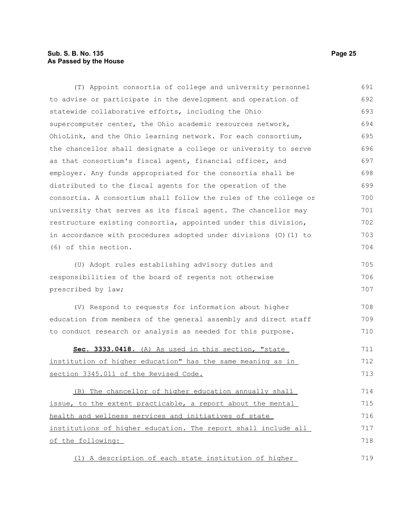## **Sub. S. B. No. 135 Page 25 As Passed by the House**

| (T) Appoint consortia of college and university personnel                                                                                                                                                                                                                                                                                                                                                                                                                                                                                                                                                                                                                                                                                                                                                                                                                                                                                                                                                                                                                                                                                                                                                                                                                                                                                                                                                                                                                                                                                                                                                                                               | 691 |
|---------------------------------------------------------------------------------------------------------------------------------------------------------------------------------------------------------------------------------------------------------------------------------------------------------------------------------------------------------------------------------------------------------------------------------------------------------------------------------------------------------------------------------------------------------------------------------------------------------------------------------------------------------------------------------------------------------------------------------------------------------------------------------------------------------------------------------------------------------------------------------------------------------------------------------------------------------------------------------------------------------------------------------------------------------------------------------------------------------------------------------------------------------------------------------------------------------------------------------------------------------------------------------------------------------------------------------------------------------------------------------------------------------------------------------------------------------------------------------------------------------------------------------------------------------------------------------------------------------------------------------------------------------|-----|
|                                                                                                                                                                                                                                                                                                                                                                                                                                                                                                                                                                                                                                                                                                                                                                                                                                                                                                                                                                                                                                                                                                                                                                                                                                                                                                                                                                                                                                                                                                                                                                                                                                                         | 692 |
|                                                                                                                                                                                                                                                                                                                                                                                                                                                                                                                                                                                                                                                                                                                                                                                                                                                                                                                                                                                                                                                                                                                                                                                                                                                                                                                                                                                                                                                                                                                                                                                                                                                         | 693 |
|                                                                                                                                                                                                                                                                                                                                                                                                                                                                                                                                                                                                                                                                                                                                                                                                                                                                                                                                                                                                                                                                                                                                                                                                                                                                                                                                                                                                                                                                                                                                                                                                                                                         | 694 |
|                                                                                                                                                                                                                                                                                                                                                                                                                                                                                                                                                                                                                                                                                                                                                                                                                                                                                                                                                                                                                                                                                                                                                                                                                                                                                                                                                                                                                                                                                                                                                                                                                                                         | 695 |
|                                                                                                                                                                                                                                                                                                                                                                                                                                                                                                                                                                                                                                                                                                                                                                                                                                                                                                                                                                                                                                                                                                                                                                                                                                                                                                                                                                                                                                                                                                                                                                                                                                                         | 696 |
|                                                                                                                                                                                                                                                                                                                                                                                                                                                                                                                                                                                                                                                                                                                                                                                                                                                                                                                                                                                                                                                                                                                                                                                                                                                                                                                                                                                                                                                                                                                                                                                                                                                         | 697 |
|                                                                                                                                                                                                                                                                                                                                                                                                                                                                                                                                                                                                                                                                                                                                                                                                                                                                                                                                                                                                                                                                                                                                                                                                                                                                                                                                                                                                                                                                                                                                                                                                                                                         | 698 |
|                                                                                                                                                                                                                                                                                                                                                                                                                                                                                                                                                                                                                                                                                                                                                                                                                                                                                                                                                                                                                                                                                                                                                                                                                                                                                                                                                                                                                                                                                                                                                                                                                                                         | 699 |
|                                                                                                                                                                                                                                                                                                                                                                                                                                                                                                                                                                                                                                                                                                                                                                                                                                                                                                                                                                                                                                                                                                                                                                                                                                                                                                                                                                                                                                                                                                                                                                                                                                                         | 700 |
|                                                                                                                                                                                                                                                                                                                                                                                                                                                                                                                                                                                                                                                                                                                                                                                                                                                                                                                                                                                                                                                                                                                                                                                                                                                                                                                                                                                                                                                                                                                                                                                                                                                         | 701 |
|                                                                                                                                                                                                                                                                                                                                                                                                                                                                                                                                                                                                                                                                                                                                                                                                                                                                                                                                                                                                                                                                                                                                                                                                                                                                                                                                                                                                                                                                                                                                                                                                                                                         | 702 |
|                                                                                                                                                                                                                                                                                                                                                                                                                                                                                                                                                                                                                                                                                                                                                                                                                                                                                                                                                                                                                                                                                                                                                                                                                                                                                                                                                                                                                                                                                                                                                                                                                                                         | 703 |
| to advise or participate in the development and operation of<br>statewide collaborative efforts, including the Ohio<br>supercomputer center, the Ohio academic resources network,<br>OhioLink, and the Ohio learning network. For each consortium,<br>the chancellor shall designate a college or university to serve<br>as that consortium's fiscal agent, financial officer, and<br>employer. Any funds appropriated for the consortia shall be<br>distributed to the fiscal agents for the operation of the<br>consortia. A consortium shall follow the rules of the college or<br>university that serves as its fiscal agent. The chancellor may<br>restructure existing consortia, appointed under this division,<br>in accordance with procedures adopted under divisions (0) (1) to<br>(6) of this section.<br>(U) Adopt rules establishing advisory duties and<br>responsibilities of the board of regents not otherwise<br>prescribed by law;<br>(V) Respond to requests for information about higher<br>education from members of the general assembly and direct staff<br>to conduct research or analysis as needed for this purpose.<br>Sec. 3333.0418. (A) As used in this section, "state<br><u>institution of higher education" has the same meaning as in</u><br>section 3345.011 of the Revised Code.<br>(B) The chancellor of higher education annually shall<br>issue, to the extent practicable, a report about the mental<br>health and wellness services and initiatives of state<br>institutions of higher education. The report shall include all<br>of the following:<br>(1) A description of each state institution of higher | 704 |
|                                                                                                                                                                                                                                                                                                                                                                                                                                                                                                                                                                                                                                                                                                                                                                                                                                                                                                                                                                                                                                                                                                                                                                                                                                                                                                                                                                                                                                                                                                                                                                                                                                                         | 705 |
|                                                                                                                                                                                                                                                                                                                                                                                                                                                                                                                                                                                                                                                                                                                                                                                                                                                                                                                                                                                                                                                                                                                                                                                                                                                                                                                                                                                                                                                                                                                                                                                                                                                         | 706 |
|                                                                                                                                                                                                                                                                                                                                                                                                                                                                                                                                                                                                                                                                                                                                                                                                                                                                                                                                                                                                                                                                                                                                                                                                                                                                                                                                                                                                                                                                                                                                                                                                                                                         | 707 |
|                                                                                                                                                                                                                                                                                                                                                                                                                                                                                                                                                                                                                                                                                                                                                                                                                                                                                                                                                                                                                                                                                                                                                                                                                                                                                                                                                                                                                                                                                                                                                                                                                                                         | 708 |
|                                                                                                                                                                                                                                                                                                                                                                                                                                                                                                                                                                                                                                                                                                                                                                                                                                                                                                                                                                                                                                                                                                                                                                                                                                                                                                                                                                                                                                                                                                                                                                                                                                                         | 709 |
|                                                                                                                                                                                                                                                                                                                                                                                                                                                                                                                                                                                                                                                                                                                                                                                                                                                                                                                                                                                                                                                                                                                                                                                                                                                                                                                                                                                                                                                                                                                                                                                                                                                         | 710 |
|                                                                                                                                                                                                                                                                                                                                                                                                                                                                                                                                                                                                                                                                                                                                                                                                                                                                                                                                                                                                                                                                                                                                                                                                                                                                                                                                                                                                                                                                                                                                                                                                                                                         | 711 |
|                                                                                                                                                                                                                                                                                                                                                                                                                                                                                                                                                                                                                                                                                                                                                                                                                                                                                                                                                                                                                                                                                                                                                                                                                                                                                                                                                                                                                                                                                                                                                                                                                                                         | 712 |
|                                                                                                                                                                                                                                                                                                                                                                                                                                                                                                                                                                                                                                                                                                                                                                                                                                                                                                                                                                                                                                                                                                                                                                                                                                                                                                                                                                                                                                                                                                                                                                                                                                                         | 713 |
|                                                                                                                                                                                                                                                                                                                                                                                                                                                                                                                                                                                                                                                                                                                                                                                                                                                                                                                                                                                                                                                                                                                                                                                                                                                                                                                                                                                                                                                                                                                                                                                                                                                         | 714 |
|                                                                                                                                                                                                                                                                                                                                                                                                                                                                                                                                                                                                                                                                                                                                                                                                                                                                                                                                                                                                                                                                                                                                                                                                                                                                                                                                                                                                                                                                                                                                                                                                                                                         | 715 |
|                                                                                                                                                                                                                                                                                                                                                                                                                                                                                                                                                                                                                                                                                                                                                                                                                                                                                                                                                                                                                                                                                                                                                                                                                                                                                                                                                                                                                                                                                                                                                                                                                                                         | 716 |
|                                                                                                                                                                                                                                                                                                                                                                                                                                                                                                                                                                                                                                                                                                                                                                                                                                                                                                                                                                                                                                                                                                                                                                                                                                                                                                                                                                                                                                                                                                                                                                                                                                                         | 717 |
|                                                                                                                                                                                                                                                                                                                                                                                                                                                                                                                                                                                                                                                                                                                                                                                                                                                                                                                                                                                                                                                                                                                                                                                                                                                                                                                                                                                                                                                                                                                                                                                                                                                         | 718 |
|                                                                                                                                                                                                                                                                                                                                                                                                                                                                                                                                                                                                                                                                                                                                                                                                                                                                                                                                                                                                                                                                                                                                                                                                                                                                                                                                                                                                                                                                                                                                                                                                                                                         | 719 |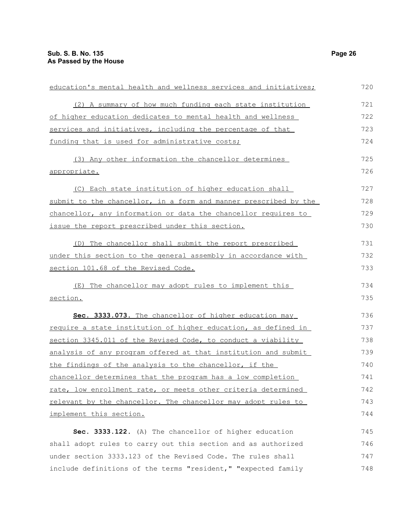| education's mental health and wellness services and initiatives; |     |
|------------------------------------------------------------------|-----|
| (2) A summary of how much funding each state institution         | 721 |
| of higher education dedicates to mental health and wellness      | 722 |
| services and initiatives, including the percentage of that       | 723 |
| funding that is used for administrative costs;                   | 724 |
| (3) Any other information the chancellor determines              | 725 |
| appropriate.                                                     | 726 |
| (C) Each state institution of higher education shall             | 727 |
| submit to the chancellor, in a form and manner prescribed by the | 728 |
| chancellor, any information or data the chancellor requires to   | 729 |
| issue the report prescribed under this section.                  | 730 |
| (D) The chancellor shall submit the report prescribed            | 731 |
| under this section to the general assembly in accordance with    | 732 |
| section 101.68 of the Revised Code.                              | 733 |
| (E) The chancellor may adopt rules to implement this             | 734 |
| section.                                                         | 735 |
| Sec. 3333.073. The chancellor of higher education may            | 736 |
| require a state institution of higher education, as defined in   | 737 |
| section 3345.011 of the Revised Code, to conduct a viability     | 738 |
| analysis of any program offered at that institution and submit   | 739 |
| the findings of the analysis to the chancellor, if the           | 740 |
| chancellor determines that the program has a low completion      | 741 |
| rate, low enrollment rate, or meets other criteria determined    | 742 |
| relevant by the chancellor. The chancellor may adopt rules to    | 743 |
| implement this section.                                          | 744 |
| Sec. 3333.122. (A) The chancellor of higher education            | 745 |
| shall adopt rules to carry out this section and as authorized    | 746 |
| under section 3333.123 of the Revised Code. The rules shall      | 747 |
| include definitions of the terms "resident," "expected family    | 748 |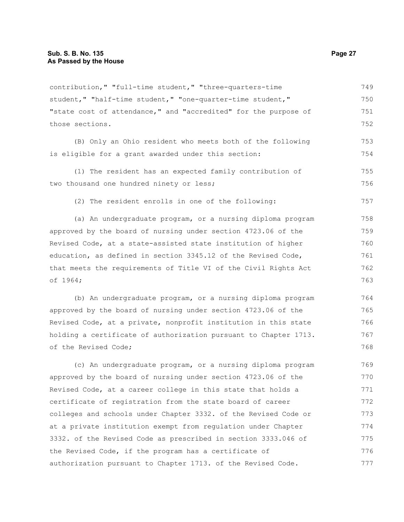contribution," "full-time student," "three-quarters-time student," "half-time student," "one-quarter-time student," "state cost of attendance," and "accredited" for the purpose of those sections. 749 750 751 752

(B) Only an Ohio resident who meets both of the following is eligible for a grant awarded under this section: 753 754

(1) The resident has an expected family contribution of two thousand one hundred ninety or less; 755 756

(2) The resident enrolls in one of the following:

(a) An undergraduate program, or a nursing diploma program approved by the board of nursing under section 4723.06 of the Revised Code, at a state-assisted state institution of higher education, as defined in section 3345.12 of the Revised Code, that meets the requirements of Title VI of the Civil Rights Act of 1964; 758 759 760 761 762 763

(b) An undergraduate program, or a nursing diploma program approved by the board of nursing under section 4723.06 of the Revised Code, at a private, nonprofit institution in this state holding a certificate of authorization pursuant to Chapter 1713. of the Revised Code; 764 765 766 767 768

(c) An undergraduate program, or a nursing diploma program approved by the board of nursing under section 4723.06 of the Revised Code, at a career college in this state that holds a certificate of registration from the state board of career colleges and schools under Chapter 3332. of the Revised Code or at a private institution exempt from regulation under Chapter 3332. of the Revised Code as prescribed in section 3333.046 of the Revised Code, if the program has a certificate of authorization pursuant to Chapter 1713. of the Revised Code. 769 770 771 772 773 774 775 776 777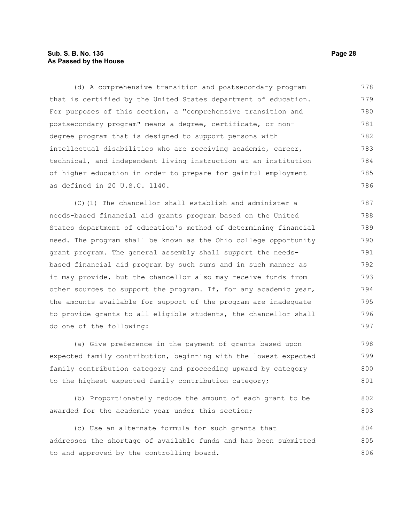#### **Sub. S. B. No. 135 Page 28 As Passed by the House**

(d) A comprehensive transition and postsecondary program that is certified by the United States department of education. For purposes of this section, a "comprehensive transition and postsecondary program" means a degree, certificate, or nondegree program that is designed to support persons with intellectual disabilities who are receiving academic, career, technical, and independent living instruction at an institution of higher education in order to prepare for gainful employment as defined in 20 U.S.C. 1140. 778 779 780 781 782 783 784 785 786

(C)(1) The chancellor shall establish and administer a needs-based financial aid grants program based on the United States department of education's method of determining financial need. The program shall be known as the Ohio college opportunity grant program. The general assembly shall support the needsbased financial aid program by such sums and in such manner as it may provide, but the chancellor also may receive funds from other sources to support the program. If, for any academic year, the amounts available for support of the program are inadequate to provide grants to all eligible students, the chancellor shall do one of the following: 787 788 789 790 791 792 793 794 795 796 797

(a) Give preference in the payment of grants based upon expected family contribution, beginning with the lowest expected family contribution category and proceeding upward by category to the highest expected family contribution category; 798 799 800 801

(b) Proportionately reduce the amount of each grant to be awarded for the academic year under this section; 802 803

(c) Use an alternate formula for such grants that addresses the shortage of available funds and has been submitted to and approved by the controlling board. 804 805 806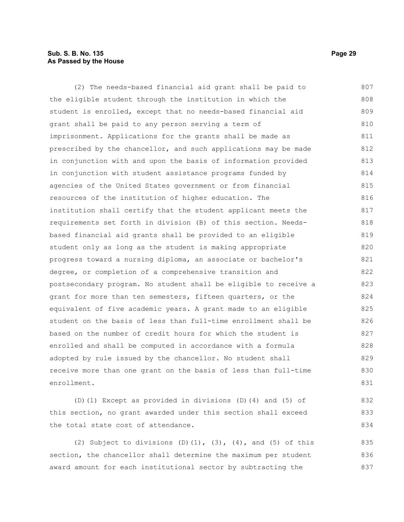#### **Sub. S. B. No. 135 Page 29 As Passed by the House**

(2) The needs-based financial aid grant shall be paid to the eligible student through the institution in which the student is enrolled, except that no needs-based financial aid grant shall be paid to any person serving a term of imprisonment. Applications for the grants shall be made as prescribed by the chancellor, and such applications may be made in conjunction with and upon the basis of information provided in conjunction with student assistance programs funded by agencies of the United States government or from financial resources of the institution of higher education. The institution shall certify that the student applicant meets the requirements set forth in division (B) of this section. Needsbased financial aid grants shall be provided to an eligible student only as long as the student is making appropriate progress toward a nursing diploma, an associate or bachelor's degree, or completion of a comprehensive transition and postsecondary program. No student shall be eligible to receive a grant for more than ten semesters, fifteen quarters, or the equivalent of five academic years. A grant made to an eligible student on the basis of less than full-time enrollment shall be based on the number of credit hours for which the student is enrolled and shall be computed in accordance with a formula adopted by rule issued by the chancellor. No student shall receive more than one grant on the basis of less than full-time enrollment. 807 808 809 810 811 812 813 814 815 816 817 818 819 820 821 822 823 824 825 826 827 828 829 830 831 832

(D)(1) Except as provided in divisions (D)(4) and (5) of this section, no grant awarded under this section shall exceed the total state cost of attendance.

(2) Subject to divisions (D)(1),  $(3)$ ,  $(4)$ , and  $(5)$  of this section, the chancellor shall determine the maximum per student award amount for each institutional sector by subtracting the 835 836 837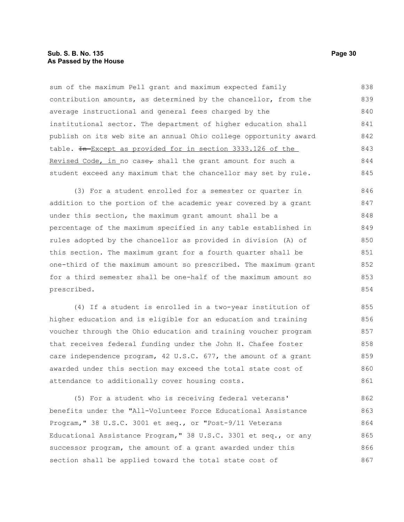sum of the maximum Pell grant and maximum expected family contribution amounts, as determined by the chancellor, from the average instructional and general fees charged by the institutional sector. The department of higher education shall publish on its web site an annual Ohio college opportunity award table. In Except as provided for in section 3333.126 of the Revised Code, in no case, shall the grant amount for such a student exceed any maximum that the chancellor may set by rule. 838 839 840 841 842 843 844 845

(3) For a student enrolled for a semester or quarter in addition to the portion of the academic year covered by a grant under this section, the maximum grant amount shall be a percentage of the maximum specified in any table established in rules adopted by the chancellor as provided in division (A) of this section. The maximum grant for a fourth quarter shall be one-third of the maximum amount so prescribed. The maximum grant for a third semester shall be one-half of the maximum amount so prescribed. 846 847 848 849 850 851 852 853 854

(4) If a student is enrolled in a two-year institution of higher education and is eligible for an education and training voucher through the Ohio education and training voucher program that receives federal funding under the John H. Chafee foster care independence program, 42 U.S.C. 677, the amount of a grant awarded under this section may exceed the total state cost of attendance to additionally cover housing costs. 855 856 857 858 859 860 861

(5) For a student who is receiving federal veterans' benefits under the "All-Volunteer Force Educational Assistance Program," 38 U.S.C. 3001 et seq., or "Post-9/11 Veterans Educational Assistance Program," 38 U.S.C. 3301 et seq., or any successor program, the amount of a grant awarded under this section shall be applied toward the total state cost of 862 863 864 865 866 867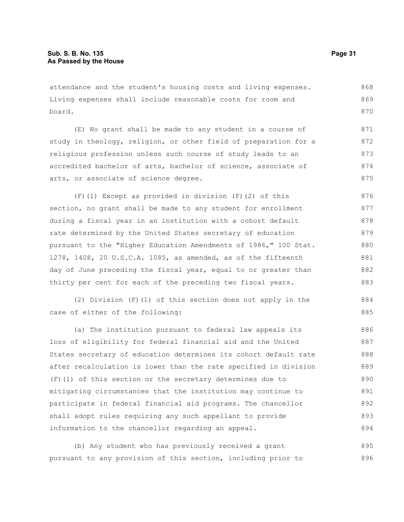attendance and the student's housing costs and living expenses. Living expenses shall include reasonable costs for room and board. 868 869 870

(E) No grant shall be made to any student in a course of study in theology, religion, or other field of preparation for a religious profession unless such course of study leads to an accredited bachelor of arts, bachelor of science, associate of arts, or associate of science degree. 871 872 873 874 875

(F)(1) Except as provided in division (F)(2) of this section, no grant shall be made to any student for enrollment during a fiscal year in an institution with a cohort default rate determined by the United States secretary of education pursuant to the "Higher Education Amendments of 1986," 100 Stat. 1278, 1408, 20 U.S.C.A. 1085, as amended, as of the fifteenth day of June preceding the fiscal year, equal to or greater than thirty per cent for each of the preceding two fiscal years. 876 877 878 879 880 881 882 883

(2) Division (F)(1) of this section does not apply in the case of either of the following:

(a) The institution pursuant to federal law appeals its loss of eligibility for federal financial aid and the United States secretary of education determines its cohort default rate after recalculation is lower than the rate specified in division (F)(1) of this section or the secretary determines due to mitigating circumstances that the institution may continue to participate in federal financial aid programs. The chancellor shall adopt rules requiring any such appellant to provide information to the chancellor regarding an appeal. 886 887 888 889 890 891 892 893 894

(b) Any student who has previously received a grant pursuant to any provision of this section, including prior to 895 896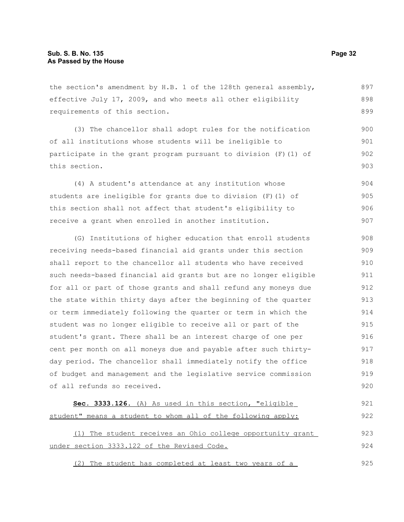the section's amendment by H.B. 1 of the 128th general assembly, effective July 17, 2009, and who meets all other eligibility requirements of this section. 897 898 899

(3) The chancellor shall adopt rules for the notification of all institutions whose students will be ineligible to participate in the grant program pursuant to division  $(F)$  (1) of this section. 900 901 902 903

(4) A student's attendance at any institution whose students are ineligible for grants due to division (F)(1) of this section shall not affect that student's eligibility to receive a grant when enrolled in another institution. 904 905 906 907

(G) Institutions of higher education that enroll students receiving needs-based financial aid grants under this section shall report to the chancellor all students who have received such needs-based financial aid grants but are no longer eligible for all or part of those grants and shall refund any moneys due the state within thirty days after the beginning of the quarter or term immediately following the quarter or term in which the student was no longer eligible to receive all or part of the student's grant. There shall be an interest charge of one per cent per month on all moneys due and payable after such thirtyday period. The chancellor shall immediately notify the office of budget and management and the legislative service commission of all refunds so received. 908 909 910 911 912 913 914 915 916 917 918 919 920

```
 Sec. 3333.126. (A) As used in this section, "eligible
student" means a student to whom all of the following apply:
     (1) The student receives an Ohio college opportunity grant
under section 3333.122 of the Revised Code.
                                                                           921
                                                                           922
                                                                           923
                                                                           924
```
(2) The student has completed at least two years of a 925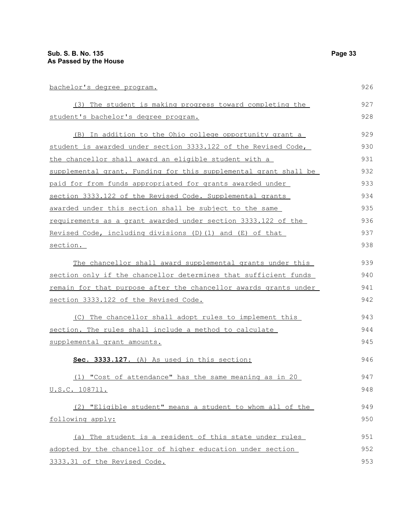| bachelor's degree program.                                              |     |
|-------------------------------------------------------------------------|-----|
| (3) The student is making progress toward completing the                | 927 |
| student's bachelor's degree program.                                    | 928 |
| (B) In addition to the Ohio college opportunity grant a                 | 929 |
| student is awarded under section 3333.122 of the Revised Code,          | 930 |
| <u>the chancellor shall award an eligible student with a</u>            | 931 |
| supplemental grant. Funding for this supplemental grant shall be        | 932 |
| paid for from funds appropriated for grants awarded under               | 933 |
| section 3333.122 of the Revised Code. Supplemental grants               | 934 |
| awarded under this section shall be subject to the same                 | 935 |
| <u>requirements</u> as a grant awarded under section 3333.122 of the    | 936 |
| Revised Code, including divisions (D) (1) and (E) of that               | 937 |
| section.                                                                | 938 |
| The chancellor shall award supplemental grants under this               | 939 |
| section only if the chancellor determines that sufficient funds         | 940 |
| <u>remain for that purpose after the chancellor awards grants under</u> | 941 |
| section 3333.122 of the Revised Code.                                   | 942 |
| (C) The chancellor shall adopt rules to implement this                  | 943 |
| section. The rules shall include a method to calculate                  | 944 |
| supplemental grant amounts.                                             | 945 |
| Sec. 3333.127. (A) As used in this section:                             | 946 |
| (1) "Cost of attendance" has the same meaning as in 20                  | 947 |
| U.S.C. 108711.                                                          | 948 |
| (2) "Eligible student" means a student to whom all of the               | 949 |
| following apply:                                                        | 950 |
| (a) The student is a resident of this state under rules                 | 951 |
| adopted by the chancellor of higher education under section             | 952 |
| 3333.31 of the Revised Code.                                            | 953 |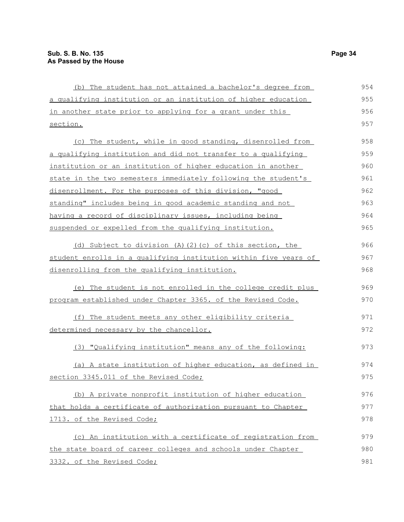| 955<br>a qualifying institution or an institution of higher education<br>956<br>in another state prior to applying for a grant under this<br>957<br>section.<br>958<br>(c) The student, while in good standing, disenrolled from<br>959<br>a qualifying institution and did not transfer to a qualifying<br>960<br>institution or an institution of higher education in another<br>961<br>state in the two semesters immediately following the student's<br>962<br>disenrollment. For the purposes of this division, "good<br>963<br>standing" includes being in good academic standing and not<br>964<br>having a record of disciplinary issues, including being<br>965<br>suspended or expelled from the qualifying institution. |
|------------------------------------------------------------------------------------------------------------------------------------------------------------------------------------------------------------------------------------------------------------------------------------------------------------------------------------------------------------------------------------------------------------------------------------------------------------------------------------------------------------------------------------------------------------------------------------------------------------------------------------------------------------------------------------------------------------------------------------|
|                                                                                                                                                                                                                                                                                                                                                                                                                                                                                                                                                                                                                                                                                                                                    |
|                                                                                                                                                                                                                                                                                                                                                                                                                                                                                                                                                                                                                                                                                                                                    |
|                                                                                                                                                                                                                                                                                                                                                                                                                                                                                                                                                                                                                                                                                                                                    |
|                                                                                                                                                                                                                                                                                                                                                                                                                                                                                                                                                                                                                                                                                                                                    |
|                                                                                                                                                                                                                                                                                                                                                                                                                                                                                                                                                                                                                                                                                                                                    |
|                                                                                                                                                                                                                                                                                                                                                                                                                                                                                                                                                                                                                                                                                                                                    |
|                                                                                                                                                                                                                                                                                                                                                                                                                                                                                                                                                                                                                                                                                                                                    |
|                                                                                                                                                                                                                                                                                                                                                                                                                                                                                                                                                                                                                                                                                                                                    |
|                                                                                                                                                                                                                                                                                                                                                                                                                                                                                                                                                                                                                                                                                                                                    |
|                                                                                                                                                                                                                                                                                                                                                                                                                                                                                                                                                                                                                                                                                                                                    |
|                                                                                                                                                                                                                                                                                                                                                                                                                                                                                                                                                                                                                                                                                                                                    |
|                                                                                                                                                                                                                                                                                                                                                                                                                                                                                                                                                                                                                                                                                                                                    |
| 966<br>(d) Subject to division (A)(2)(c) of this section, the                                                                                                                                                                                                                                                                                                                                                                                                                                                                                                                                                                                                                                                                      |
| 967<br>student enrolls in a qualifying institution within five years of                                                                                                                                                                                                                                                                                                                                                                                                                                                                                                                                                                                                                                                            |
| 968<br>disenrolling from the qualifying institution.                                                                                                                                                                                                                                                                                                                                                                                                                                                                                                                                                                                                                                                                               |
| 969<br>(e) The student is not enrolled in the college credit plus                                                                                                                                                                                                                                                                                                                                                                                                                                                                                                                                                                                                                                                                  |
| 970<br>program established under Chapter 3365. of the Revised Code.                                                                                                                                                                                                                                                                                                                                                                                                                                                                                                                                                                                                                                                                |
| (f) The student meets any other eligibility criteria<br>971                                                                                                                                                                                                                                                                                                                                                                                                                                                                                                                                                                                                                                                                        |
| 972<br>determined necessary by the chancellor.                                                                                                                                                                                                                                                                                                                                                                                                                                                                                                                                                                                                                                                                                     |
| 973<br>(3) "Qualifying institution" means any of the following:                                                                                                                                                                                                                                                                                                                                                                                                                                                                                                                                                                                                                                                                    |
| (a) A state institution of higher education, as defined in<br>974                                                                                                                                                                                                                                                                                                                                                                                                                                                                                                                                                                                                                                                                  |
| section 3345.011 of the Revised Code;<br>975                                                                                                                                                                                                                                                                                                                                                                                                                                                                                                                                                                                                                                                                                       |
| (b) A private nonprofit institution of higher education<br>976                                                                                                                                                                                                                                                                                                                                                                                                                                                                                                                                                                                                                                                                     |
| that holds a certificate of authorization pursuant to Chapter<br>977                                                                                                                                                                                                                                                                                                                                                                                                                                                                                                                                                                                                                                                               |
| 1713. of the Revised Code;<br>978                                                                                                                                                                                                                                                                                                                                                                                                                                                                                                                                                                                                                                                                                                  |
| (c) An institution with a certificate of registration from<br>979                                                                                                                                                                                                                                                                                                                                                                                                                                                                                                                                                                                                                                                                  |
| the state board of career colleges and schools under Chapter<br>980                                                                                                                                                                                                                                                                                                                                                                                                                                                                                                                                                                                                                                                                |
| 981<br>3332. of the Revised Code;                                                                                                                                                                                                                                                                                                                                                                                                                                                                                                                                                                                                                                                                                                  |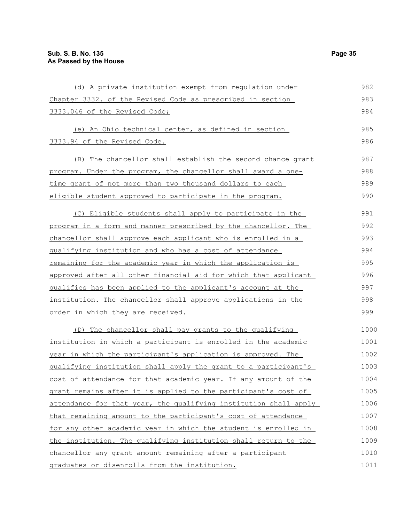| (d) A private institution exempt from requlation under           | 982  |
|------------------------------------------------------------------|------|
| Chapter 3332. of the Revised Code as prescribed in section       | 983  |
| 3333.046 of the Revised Code;                                    | 984  |
| (e) An Ohio technical center, as defined in section              | 985  |
| 3333.94 of the Revised Code.                                     | 986  |
|                                                                  |      |
| The chancellor shall establish the second chance grant<br>(B)    | 987  |
| program. Under the program, the chancellor shall award a one-    | 988  |
| time grant of not more than two thousand dollars to each         | 989  |
| eligible student approved to participate in the program.         | 990  |
| (C) Eligible students shall apply to participate in the          | 991  |
| program in a form and manner prescribed by the chancellor. The   | 992  |
| chancellor shall approve each applicant who is enrolled in a     | 993  |
| qualifying institution and who has a cost of attendance          | 994  |
| remaining for the academic year in which the application is      | 995  |
| approved after all other financial aid for which that applicant  | 996  |
| qualifies has been applied to the applicant's account at the     | 997  |
| institution. The chancellor shall approve applications in the    | 998  |
| order in which they are received.                                | 999  |
| (D) The chancellor shall pay grants to the qualifying            | 1000 |
| institution in which a participant is enrolled in the academic   | 1001 |
| year in which the participant's application is approved. The     | 1002 |
| qualifying institution shall apply the grant to a participant's  | 1003 |
| cost of attendance for that academic year. If any amount of the  | 1004 |
| grant remains after it is applied to the participant's cost of   | 1005 |
| attendance for that year, the qualifying institution shall apply | 1006 |
| that remaining amount to the participant's cost of attendance    | 1007 |
| for any other academic year in which the student is enrolled in  | 1008 |
| the institution. The qualifying institution shall return to the  | 1009 |
| chancellor any grant amount remaining after a participant        | 1010 |
| graduates or disenrolls from the institution.                    | 1011 |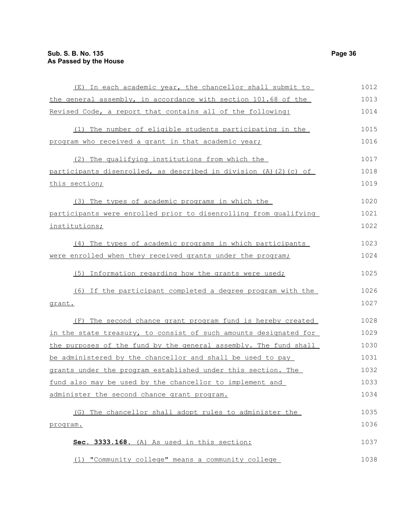| (E) In each academic year, the chancellor shall submit to        | 1012 |
|------------------------------------------------------------------|------|
| the general assembly, in accordance with section 101.68 of the   | 1013 |
| Revised Code, a report that contains all of the following:       | 1014 |
| (1) The number of eligible students participating in the         | 1015 |
| program who received a grant in that academic year;              | 1016 |
| (2) The qualifying institutions from which the                   | 1017 |
| participants disenrolled, as described in division (A)(2)(c) of  | 1018 |
| this section;                                                    | 1019 |
| (3) The types of academic programs in which the                  | 1020 |
| participants were enrolled prior to disenrolling from qualifying | 1021 |
| institutions;                                                    | 1022 |
| (4) The types of academic programs in which participants         | 1023 |
| were enrolled when they received grants under the program;       | 1024 |
| (5) Information regarding how the grants were used;              | 1025 |
| (6) If the participant completed a degree program with the       | 1026 |
| grant.                                                           | 1027 |
| (F) The second chance grant program fund is hereby created       | 1028 |
| in the state treasury, to consist of such amounts designated for | 1029 |
| the purposes of the fund by the general assembly. The fund shall | 1030 |
| be administered by the chancellor and shall be used to pay       | 1031 |
| grants under the program established under this section. The     | 1032 |
| fund also may be used by the chancellor to implement and         | 1033 |
| administer the second chance grant program.                      | 1034 |
| The chancellor shall adopt rules to administer the<br>(G)        | 1035 |
| program.                                                         | 1036 |
| Sec. 3333.168. (A) As used in this section:                      | 1037 |
| (1) "Community college" means a community college                | 1038 |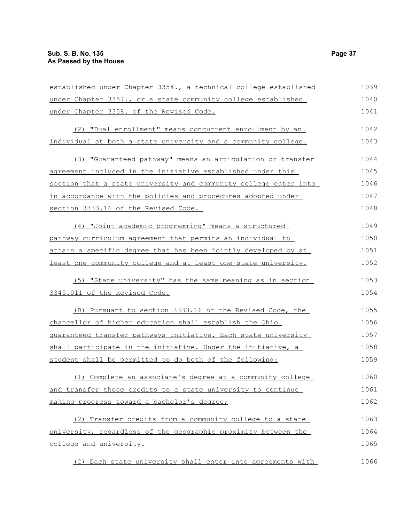| established under Chapter 3354., a technical college established | 1039 |
|------------------------------------------------------------------|------|
| under Chapter 3357., or a state community college established    | 1040 |
| under Chapter 3358. of the Revised Code.                         | 1041 |
| (2) "Dual enrollment" means concurrent enrollment by an          | 1042 |
| individual at both a state university and a community college.   | 1043 |
| (3) "Guaranteed pathway" means an articulation or transfer       | 1044 |
| agreement included in the initiative established under this      | 1045 |
| section that a state university and community college enter into | 1046 |
| in accordance with the policies and procedures adopted under     | 1047 |
| section 3333.16 of the Revised Code.                             | 1048 |
| (4) "Joint academic programming" means a structured              | 1049 |
| pathway curriculum agreement that permits an individual to       | 1050 |
| attain a specific degree that has been jointly developed by at   | 1051 |
| least one community college and at least one state university.   | 1052 |
| (5) "State university" has the same meaning as in section        | 1053 |
| 3345.011 of the Revised Code.                                    | 1054 |
| (B) Pursuant to section 3333.16 of the Revised Code, the         | 1055 |
| chancellor of higher education shall establish the Ohio          | 1056 |
| guaranteed transfer pathways initiative. Each state university   | 1057 |
| shall participate in the initiative. Under the initiative, a     | 1058 |
| student shall be permitted to do both of the following:          | 1059 |
| (1) Complete an associate's degree at a community college        | 1060 |
| and transfer those credits to a state university to continue     | 1061 |
| making progress toward a bachelor's degree;                      | 1062 |
| (2) Transfer credits from a community college to a state         | 1063 |
| university, regardless of the geographic proximity between the   | 1064 |
| college and university.                                          | 1065 |
| (C) Each state university shall enter into agreements with       | 1066 |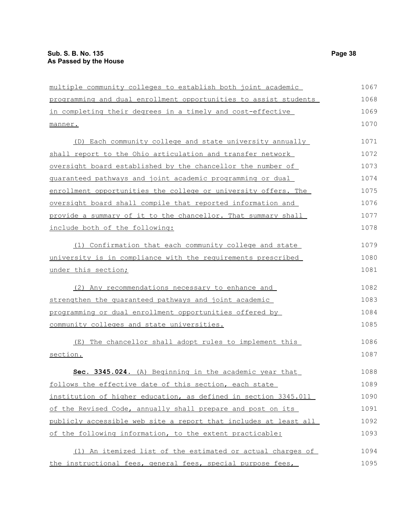| multiple community colleges to establish both joint academic     | 1067 |
|------------------------------------------------------------------|------|
| programming and dual enrollment opportunities to assist students | 1068 |
| in completing their degrees in a timely and cost-effective       | 1069 |
| manner.                                                          | 1070 |
| (D) Each community college and state university annually         | 1071 |
| shall report to the Ohio articulation and transfer network       | 1072 |
| oversight board established by the chancellor the number of      | 1073 |
| guaranteed pathways and joint academic programming or dual       | 1074 |
| enrollment opportunities the college or university offers. The   | 1075 |
| oversight board shall compile that reported information and      | 1076 |
| provide a summary of it to the chancellor. That summary shall    | 1077 |
| include both of the following:                                   | 1078 |
| (1) Confirmation that each community college and state           | 1079 |
| university is in compliance with the requirements prescribed     | 1080 |
| under this section;                                              | 1081 |
| (2) Any recommendations necessary to enhance and                 | 1082 |
| strengthen the quaranteed pathways and joint academic            | 1083 |
| programming or dual enrollment opportunities offered by          | 1084 |
| community colleges and state universities.                       | 1085 |
| The chancellor shall adopt rules to implement this<br>(E)        | 1086 |
| section.                                                         | 1087 |
| Sec. 3345.024. (A) Beginning in the academic year that           | 1088 |
| follows the effective date of this section, each state           | 1089 |
| institution of higher education, as defined in section 3345.011  | 1090 |
| of the Revised Code, annually shall prepare and post on its      | 1091 |
| publicly accessible web site a report that includes at least all | 1092 |
| of the following information, to the extent practicable:         | 1093 |
| (1) An itemized list of the estimated or actual charges of       | 1094 |
| the instructional fees, general fees, special purpose fees,      | 1095 |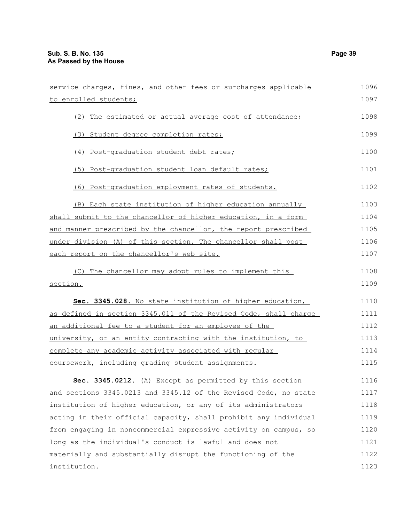| service charges, fines, and other fees or surcharges applicable  | 1096 |
|------------------------------------------------------------------|------|
| to enrolled students;                                            | 1097 |
| The estimated or actual average cost of attendance;<br>(2)       | 1098 |
| (3) Student degree completion rates;                             | 1099 |
| (4) Post-graduation student debt rates;                          | 1100 |
| (5) Post-graduation student loan default rates;                  | 1101 |
| (6) Post-graduation employment rates of students.                | 1102 |
| (B) Each state institution of higher education annually          | 1103 |
| shall submit to the chancellor of higher education, in a form    | 1104 |
| and manner prescribed by the chancellor, the report prescribed   | 1105 |
| under division (A) of this section. The chancellor shall post    | 1106 |
| each report on the chancellor's web site.                        | 1107 |
| The chancellor may adopt rules to implement this<br>(C)          | 1108 |
| section.                                                         | 1109 |
| Sec. 3345.028. No state institution of higher education,         | 1110 |
| as defined in section 3345.011 of the Revised Code, shall charge | 1111 |
| an additional fee to a student for an employee of the            | 1112 |
| university, or an entity contracting with the institution, to    | 1113 |
| complete any academic activity associated with regular           | 1114 |
| coursework, including grading student assignments.               | 1115 |
| Sec. 3345.0212. (A) Except as permitted by this section          | 1116 |
| and sections 3345.0213 and 3345.12 of the Revised Code, no state | 1117 |
| institution of higher education, or any of its administrators    | 1118 |
| acting in their official capacity, shall prohibit any individual | 1119 |
| from engaging in noncommercial expressive activity on campus, so | 1120 |
| long as the individual's conduct is lawful and does not          | 1121 |
| materially and substantially disrupt the functioning of the      | 1122 |
| institution.                                                     | 1123 |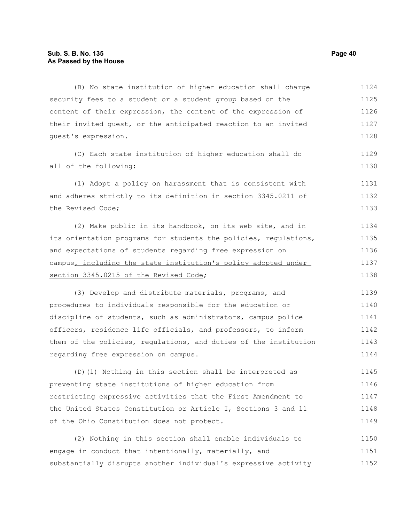(B) No state institution of higher education shall charge security fees to a student or a student group based on the content of their expression, the content of the expression of their invited guest, or the anticipated reaction to an invited guest's expression. (C) Each state institution of higher education shall do all of the following: (1) Adopt a policy on harassment that is consistent with and adheres strictly to its definition in section 3345.0211 of the Revised Code; (2) Make public in its handbook, on its web site, and in its orientation programs for students the policies, regulations, and expectations of students regarding free expression on campus, including the state institution's policy adopted under section 3345.0215 of the Revised Code; (3) Develop and distribute materials, programs, and procedures to individuals responsible for the education or discipline of students, such as administrators, campus police officers, residence life officials, and professors, to inform them of the policies, regulations, and duties of the institution regarding free expression on campus. (D)(1) Nothing in this section shall be interpreted as preventing state institutions of higher education from restricting expressive activities that the First Amendment to the United States Constitution or Article I, Sections 3 and 11 of the Ohio Constitution does not protect. 1124 1125 1126 1127 1128 1129 1130 1131 1132 1133 1134 1135 1136 1137 1138 1139 1140 1141 1142 1143 1144 1145 1146 1147 1148 1149

(2) Nothing in this section shall enable individuals to engage in conduct that intentionally, materially, and substantially disrupts another individual's expressive activity 1150 1151 1152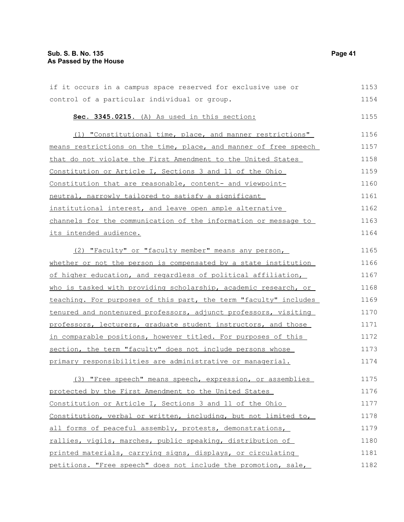| if it occurs in a campus space reserved for exclusive use or     | 1153 |
|------------------------------------------------------------------|------|
| control of a particular individual or group.                     | 1154 |
| Sec. 3345.0215. (A) As used in this section:                     | 1155 |
| (1) "Constitutional time, place, and manner restrictions"        | 1156 |
| means restrictions on the time, place, and manner of free speech | 1157 |
| that do not violate the First Amendment to the United States     | 1158 |
| Constitution or Article I, Sections 3 and 11 of the Ohio         | 1159 |
| Constitution that are reasonable, content- and viewpoint-        | 1160 |
| neutral, narrowly tailored to satisfy a significant              | 1161 |
| institutional interest, and leave open ample alternative         | 1162 |
| channels for the communication of the information or message to  | 1163 |
| its intended audience.                                           | 1164 |
| (2) "Faculty" or "faculty member" means any person,              | 1165 |
| whether or not the person is compensated by a state institution  | 1166 |
| of higher education, and regardless of political affiliation,    | 1167 |
| who is tasked with providing scholarship, academic research, or  | 1168 |
| teaching. For purposes of this part, the term "faculty" includes | 1169 |
| tenured and nontenured professors, adjunct professors, visiting  | 1170 |
| professors, lecturers, graduate student instructors, and those   | 1171 |
| in comparable positions, however titled. For purposes of this    | 1172 |
| section, the term "faculty" does not include persons whose       | 1173 |
| primary responsibilities are administrative or managerial.       | 1174 |
| (3) "Free speech" means speech, expression, or assemblies        | 1175 |
| <u>protected by the First Amendment to the United States </u>    | 1176 |
| <u>Constitution or Article I, Sections 3 and 11 of the Ohio </u> | 1177 |
| Constitution, verbal or written, including, but not limited to,  | 1178 |
|                                                                  |      |

all forms of peaceful assembly, protests, demonstrations, rallies, vigils, marches, public speaking, distribution of printed materials, carrying signs, displays, or circulating petitions. "Free speech" does not include the promotion, sale, 1179 1180 1181 1182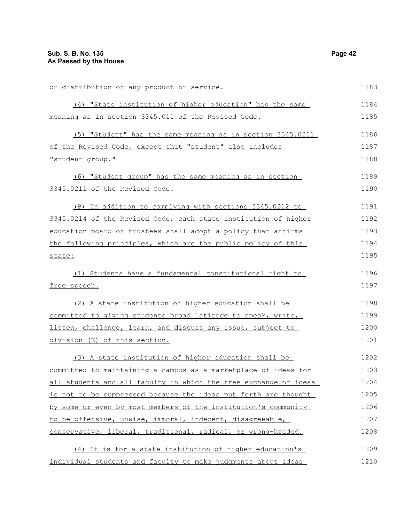| or distribution of any product or service.                       | 1183 |
|------------------------------------------------------------------|------|
| (4) "State institution of higher education" has the same         | 1184 |
| meaning as in section 3345.011 of the Revised Code.              | 1185 |
| (5) "Student" has the same meaning as in section 3345.0211       | 1186 |
| of the Revised Code, except that "student" also includes         | 1187 |
| "student group."                                                 | 1188 |
| (6) "Student group" has the same meaning as in section           | 1189 |
| 3345.0211 of the Revised Code.                                   | 1190 |
| (B) In addition to complying with sections 3345.0212 to          | 1191 |
| 3345.0214 of the Revised Code, each state institution of higher  | 1192 |
| education board of trustees shall adopt a policy that affirms    | 1193 |
| the following principles, which are the public policy of this    | 1194 |
| state:                                                           | 1195 |
| (1) Students have a fundamental constitutional right to          | 1196 |
| free speech.                                                     | 1197 |
| (2) A state institution of higher education shall be             | 1198 |
| committed to giving students broad latitude to speak, write,     | 1199 |
| listen, challenge, learn, and discuss any issue, subject to      | 1200 |
| division (E) of this section.                                    | 1201 |
| (3) A state institution of higher education shall be             | 1202 |
| committed to maintaining a campus as a marketplace of ideas for  | 1203 |
| all students and all faculty in which the free exchange of ideas | 1204 |
| is not to be suppressed because the ideas put forth are thought  | 1205 |
| by some or even by most members of the institution's community   | 1206 |
| to be offensive, unwise, immoral, indecent, disagreeable,        | 1207 |
| conservative, liberal, traditional, radical, or wrong-headed.    | 1208 |
| (4) It is for a state institution of higher education's          | 1209 |
| individual students and faculty to make judgments about ideas    | 1210 |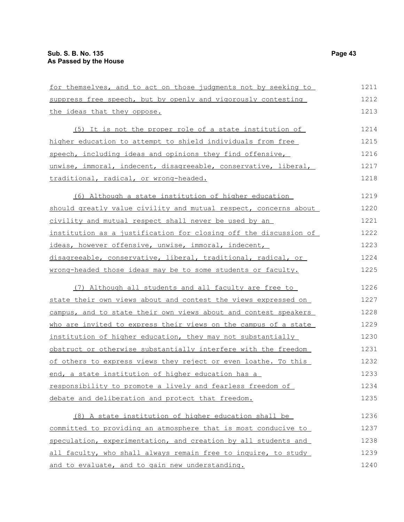| for themselves, and to act on those judgments not by seeking to  | 1211 |
|------------------------------------------------------------------|------|
| suppress free speech, but by openly and vigorously contesting    | 1212 |
| the ideas that they oppose.                                      | 1213 |
| (5) It is not the proper role of a state institution of          | 1214 |
| higher education to attempt to shield individuals from free      | 1215 |
| speech, including ideas and opinions they find offensive,        | 1216 |
| unwise, immoral, indecent, disagreeable, conservative, liberal,  | 1217 |
| traditional, radical, or wrong-headed.                           | 1218 |
| (6) Although a state institution of higher education             | 1219 |
| should greatly value civility and mutual respect, concerns about | 1220 |
| civility and mutual respect shall never be used by an            | 1221 |
| institution as a justification for closing off the discussion of | 1222 |
| ideas, however offensive, unwise, immoral, indecent,             | 1223 |
| disagreeable, conservative, liberal, traditional, radical, or    | 1224 |
| wrong-headed those ideas may be to some students or faculty.     | 1225 |
| (7) Although all students and all faculty are free to            | 1226 |
| state their own views about and contest the views expressed on   | 1227 |
| campus, and to state their own views about and contest speakers  | 1228 |
| who are invited to express their views on the campus of a state  | 1229 |
| institution of higher education, they may not substantially      | 1230 |
| obstruct or otherwise substantially interfere with the freedom   | 1231 |
| of others to express views they reject or even loathe. To this   | 1232 |
| end, a state institution of higher education has a               | 1233 |
| responsibility to promote a lively and fearless freedom of       | 1234 |
| debate and deliberation and protect that freedom.                | 1235 |
| (8) A state institution of higher education shall be             | 1236 |
| committed to providing an atmosphere that is most conducive to   | 1237 |
| speculation, experimentation, and creation by all students and   | 1238 |
| all faculty, who shall always remain free to inquire, to study   | 1239 |
| and to evaluate, and to gain new understanding.                  | 1240 |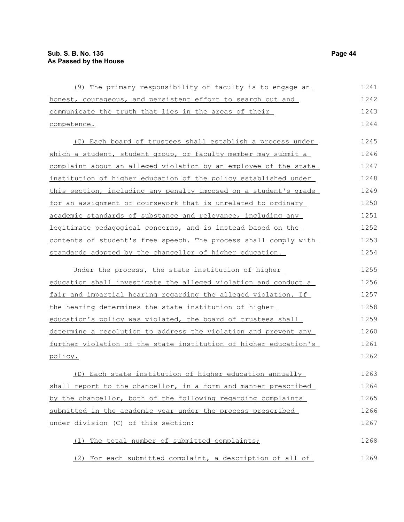| (9) The primary responsibility of faculty is to engage an        | 1241 |
|------------------------------------------------------------------|------|
| honest, courageous, and persistent effort to search out and      | 1242 |
| communicate the truth that lies in the areas of their            | 1243 |
| competence.                                                      | 1244 |
| (C) Each board of trustees shall establish a process under       | 1245 |
| which a student, student group, or faculty member may submit a   | 1246 |
| complaint about an alleged violation by an employee of the state | 1247 |
| institution of higher education of the policy established under  | 1248 |
| this section, including any penalty imposed on a student's grade | 1249 |
| for an assignment or coursework that is unrelated to ordinary    | 1250 |
| academic standards of substance and relevance, including any     | 1251 |
| legitimate pedagogical concerns, and is instead based on the     | 1252 |
| contents of student's free speech. The process shall comply with | 1253 |
| standards adopted by the chancellor of higher education.         | 1254 |
| Under the process, the state institution of higher               | 1255 |
| education shall investigate the alleged violation and conduct a  | 1256 |
| fair and impartial hearing regarding the alleged violation. If   | 1257 |
| the hearing determines the state institution of higher           | 1258 |
| education's policy was violated, the board of trustees shall     | 1259 |
| determine a resolution to address the violation and prevent any  | 1260 |
| further violation of the state institution of higher education's | 1261 |
| policy.                                                          | 1262 |
| (D) Each state institution of higher education annually          | 1263 |
| shall report to the chancellor, in a form and manner prescribed  | 1264 |
| by the chancellor, both of the following regarding complaints    | 1265 |
| submitted in the academic year under the process prescribed      | 1266 |
| under division (C) of this section:                              | 1267 |
| The total number of submitted complaints;                        | 1268 |
| For each submitted complaint, a description of all of<br>(2)     | 1269 |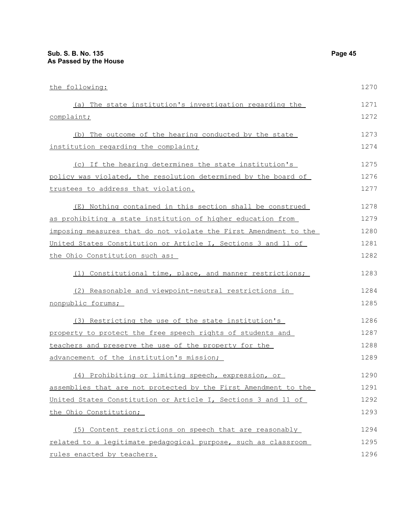| the following:                                                   | 1270 |
|------------------------------------------------------------------|------|
| (a) The state institution's investigation regarding the          | 1271 |
| complaint;                                                       | 1272 |
| (b) The outcome of the hearing conducted by the state            | 1273 |
| institution regarding the complaint;                             | 1274 |
| (c) If the hearing determines the state institution's            | 1275 |
| policy was violated, the resolution determined by the board of   | 1276 |
| trustees to address that violation.                              | 1277 |
| (E) Nothing contained in this section shall be construed         | 1278 |
| as prohibiting a state institution of higher education from      | 1279 |
| imposing measures that do not violate the First Amendment to the | 1280 |
| United States Constitution or Article I, Sections 3 and 11 of    | 1281 |
| the Ohio Constitution such as:                                   | 1282 |
| (1) Constitutional time, place, and manner restrictions;         | 1283 |
| (2) Reasonable and viewpoint-neutral restrictions in             | 1284 |
| nonpublic forums;                                                | 1285 |
| (3) Restricting the use of the state institution's               | 1286 |
| property to protect the free speech rights of students and       | 1287 |
| teachers and preserve the use of the property for the            | 1288 |
| advancement of the institution's mission;                        | 1289 |
| (4) Prohibiting or limiting speech, expression, or               | 1290 |
| assemblies that are not protected by the First Amendment to the  | 1291 |
| United States Constitution or Article I, Sections 3 and 11 of    | 1292 |
| the Ohio Constitution;                                           | 1293 |
| (5) Content restrictions on speech that are reasonably           | 1294 |
| related to a legitimate pedagogical purpose, such as classroom   | 1295 |
| rules enacted by teachers.                                       | 1296 |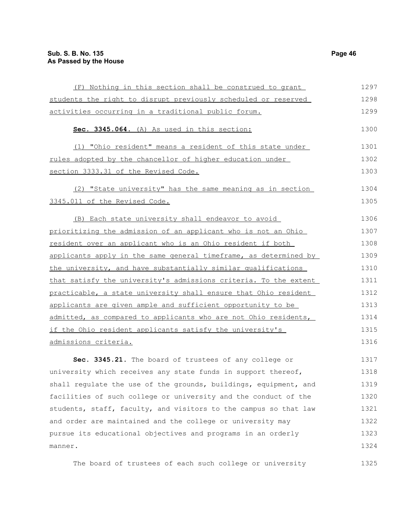| (F) Nothing in this section shall be construed to grant          | 1297 |
|------------------------------------------------------------------|------|
| students the right to disrupt previously scheduled or reserved   | 1298 |
| activities occurring in a traditional public forum.              | 1299 |
| Sec. 3345.064. (A) As used in this section:                      | 1300 |
| (1) "Ohio resident" means a resident of this state under         | 1301 |
| rules adopted by the chancellor of higher education under        | 1302 |
| section 3333.31 of the Revised Code.                             | 1303 |
| (2) "State university" has the same meaning as in section        | 1304 |
| 3345.011 of the Revised Code.                                    | 1305 |
| (B) Each state university shall endeavor to avoid                | 1306 |
| prioritizing the admission of an applicant who is not an Ohio    | 1307 |
| resident over an applicant who is an Ohio resident if both       | 1308 |
| applicants apply in the same general timeframe, as determined by | 1309 |
| the university, and have substantially similar qualifications    | 1310 |
| that satisfy the university's admissions criteria. To the extent | 1311 |
| practicable, a state university shall ensure that Ohio resident  | 1312 |
| applicants are given ample and sufficient opportunity to be      | 1313 |
| admitted, as compared to applicants who are not Ohio residents,  | 1314 |
| if the Ohio resident applicants satisfy the university's         | 1315 |
| admissions criteria.                                             | 1316 |
| Sec. 3345.21. The board of trustees of any college or            | 1317 |
| university which receives any state funds in support thereof,    | 1318 |
| shall regulate the use of the grounds, buildings, equipment, and | 1319 |
| facilities of such college or university and the conduct of the  | 1320 |
| students, staff, faculty, and visitors to the campus so that law | 1321 |
| and order are maintained and the college or university may       | 1322 |
| pursue its educational objectives and programs in an orderly     | 1323 |
| manner.                                                          | 1324 |

The board of trustees of each such college or university 1325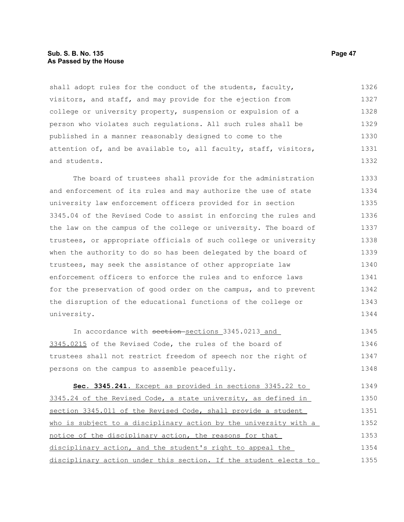# **Sub. S. B. No. 135 Page 47 As Passed by the House**

shall adopt rules for the conduct of the students, faculty, visitors, and staff, and may provide for the ejection from college or university property, suspension or expulsion of a person who violates such regulations. All such rules shall be published in a manner reasonably designed to come to the attention of, and be available to, all faculty, staff, visitors, and students. 1326 1327 1328 1329 1330 1331 1332

The board of trustees shall provide for the administration and enforcement of its rules and may authorize the use of state university law enforcement officers provided for in section 3345.04 of the Revised Code to assist in enforcing the rules and the law on the campus of the college or university. The board of trustees, or appropriate officials of such college or university when the authority to do so has been delegated by the board of trustees, may seek the assistance of other appropriate law enforcement officers to enforce the rules and to enforce laws for the preservation of good order on the campus, and to prevent the disruption of the educational functions of the college or university. 1333 1334 1335 1336 1337 1338 1339 1340 1341 1342 1343 1344

In accordance with section-sections 3345.0213 and 3345.0215 of the Revised Code, the rules of the board of trustees shall not restrict freedom of speech nor the right of persons on the campus to assemble peacefully. 1345 1346 1347 1348

 **Sec. 3345.241.** Except as provided in sections 3345.22 to 3345.24 of the Revised Code, a state university, as defined in section 3345.011 of the Revised Code, shall provide a student who is subject to a disciplinary action by the university with a notice of the disciplinary action, the reasons for that disciplinary action, and the student's right to appeal the disciplinary action under this section. If the student elects to 1349 1350 1351 1352 1353 1354 1355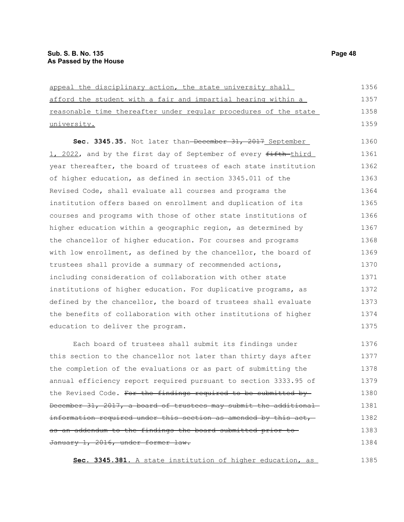| appeal the disciplinary action, the state university shall       | 1356 |
|------------------------------------------------------------------|------|
| afford the student with a fair and impartial hearing within a    | 1357 |
| reasonable time thereafter under regular procedures of the state | 1358 |
| university.                                                      | 1359 |
| Sec. 3345.35. Not later than-December 31, 2017 September         | 1360 |
| 1, 2022, and by the first day of September of every fifth third  | 1361 |
| year thereafter, the board of trustees of each state institution | 1362 |
| of higher education, as defined in section 3345.011 of the       | 1363 |
| Revised Code, shall evaluate all courses and programs the        | 1364 |
| institution offers based on enrollment and duplication of its    | 1365 |
| courses and programs with those of other state institutions of   | 1366 |
| higher education within a geographic region, as determined by    | 1367 |
| the chancellor of higher education. For courses and programs     | 1368 |
| with low enrollment, as defined by the chancellor, the board of  | 1369 |
| trustees shall provide a summary of recommended actions,         | 1370 |
| including consideration of collaboration with other state        | 1371 |
| institutions of higher education. For duplicative programs, as   | 1372 |
| defined by the chancellor, the board of trustees shall evaluate  | 1373 |
| the benefits of collaboration with other institutions of higher  | 1374 |
| education to deliver the program.                                | 1375 |
| Each board of trustees shall submit its findings under           | 1376 |
| this section to the chancellor not later than thirty days after  | 1377 |
|                                                                  |      |

the completion of the evaluations or as part of submitting the annual efficiency report required pursuant to section 3333.95 of the Revised Code. For the findings required to be submitted by-December 31, 2017, a board of trustees may submit the additional information required under this section as amended by this act, as an addendum to the findings the board submitted prior to January 1, 2016, under former law. 1378 1379 1380 1381 1382 1383 1384

**Sec. 3345.381.** A state institution of higher education, as

1385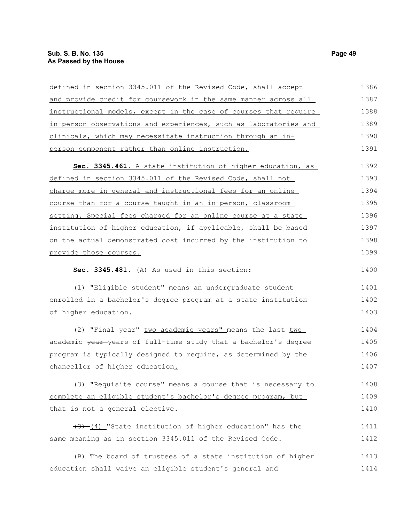# **Sub. S. B. No. 135 Page 49 As Passed by the House**

| defined in section 3345.011 of the Revised Code, shall accept    | 1386 |
|------------------------------------------------------------------|------|
| and provide credit for coursework in the same manner across all  | 1387 |
| instructional models, except in the case of courses that require | 1388 |
| in-person observations and experiences, such as laboratories and | 1389 |
| clinicals, which may necessitate instruction through an in-      | 1390 |
| person component rather than online instruction.                 | 1391 |
| Sec. 3345.461. A state institution of higher education, as       | 1392 |
| defined in section 3345.011 of the Revised Code, shall not       | 1393 |
| charge more in general and instructional fees for an online      | 1394 |
| course than for a course taught in an in-person, classroom       | 1395 |
| setting. Special fees charged for an online course at a state    | 1396 |
| institution of higher education, if applicable, shall be based   | 1397 |
| on the actual demonstrated cost incurred by the institution to   | 1398 |
| provide those courses.                                           | 1399 |
| Sec. 3345.481. (A) As used in this section:                      | 1400 |
| (1) "Eligible student" means an undergraduate student            | 1401 |
| enrolled in a bachelor's degree program at a state institution   | 1402 |
| of higher education.                                             | 1403 |
| (2) "Final-year" two academic years" means the last two          | 1404 |
| academic year years of full-time study that a bachelor's degree  | 1405 |
| program is typically designed to require, as determined by the   | 1406 |
| chancellor of higher education.                                  | 1407 |
| (3) "Requisite course" means a course that is necessary to       | 1408 |
| complete an eligible student's bachelor's degree program, but    | 1409 |
| that is not a general elective.                                  | 1410 |
| $(3)$ (4) "State institution of higher education" has the        | 1411 |
| same meaning as in section 3345.011 of the Revised Code.         | 1412 |
| (B) The board of trustees of a state institution of higher       | 1413 |
| education shall waive an eligible student's general and          | 1414 |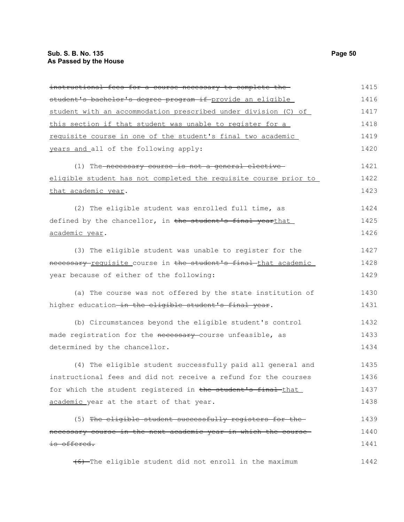| instructional fees for a course necessary to complete the-            | 1415 |
|-----------------------------------------------------------------------|------|
| student's bachelor's degree program if provide an eligible            | 1416 |
| student with an accommodation prescribed under division (C) of        | 1417 |
| this section if that student was unable to register for a             | 1418 |
| requisite course in one of the student's final two academic           | 1419 |
| years and all of the following apply:                                 | 1420 |
| (1) The necessary course is not a general elective                    | 1421 |
| eligible student has not completed the requisite course prior to      | 1422 |
| that academic year.                                                   | 1423 |
| (2) The eligible student was enrolled full time, as                   | 1424 |
| defined by the chancellor, in the student's final yearthat            | 1425 |
| <u>academic year</u> .                                                | 1426 |
| (3) The eligible student was unable to register for the               | 1427 |
| necessary-requisite course in the student's final-that academic       | 1428 |
| year because of either of the following:                              | 1429 |
| (a) The course was not offered by the state institution of            | 1430 |
| higher education <del> in the eligible student's final year</del> .   | 1431 |
| (b) Circumstances beyond the eligible student's control               | 1432 |
| made registration for the <del>necessary</del> -course unfeasible, as | 1433 |
| determined by the chancellor.                                         | 1434 |
| (4) The eligible student successfully paid all general and            | 1435 |
| instructional fees and did not receive a refund for the courses       | 1436 |
| for which the student registered in the student's final that          | 1437 |
| academic year at the start of that year.                              | 1438 |
| (5) The eligible student successfully registers for the               | 1439 |
| necessary course in the next academic year in which the course-       | 1440 |
| is offered.                                                           | 1441 |
| (6) The eligible student did not enroll in the maximum                | 1442 |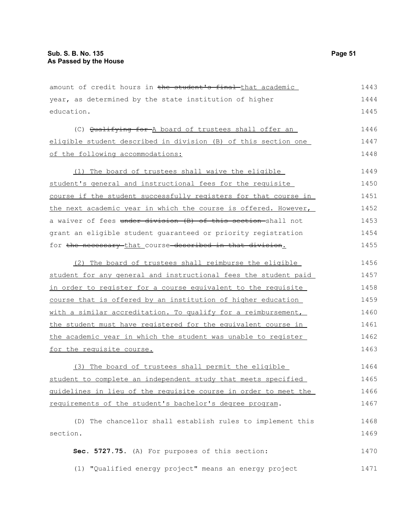amount of credit hours in the student's final that academic year, as determined by the state institution of higher education. (C) Qualifying for A board of trustees shall offer an eligible student described in division (B) of this section one of the following accommodations: (1) The board of trustees shall waive the eligible student's general and instructional fees for the requisite course if the student successfully registers for that course in the next academic year in which the course is offered. However, a waiver of fees under division (B) of this section shall not grant an eligible student guaranteed or priority registration for the necessary that course described in that division. (2) The board of trustees shall reimburse the eligible student for any general and instructional fees the student paid in order to register for a course equivalent to the requisite course that is offered by an institution of higher education with a similar accreditation. To qualify for a reimbursement, the student must have registered for the equivalent course in the academic year in which the student was unable to register for the requisite course. (3) The board of trustees shall permit the eligible student to complete an independent study that meets specified guidelines in lieu of the requisite course in order to meet the requirements of the student's bachelor's degree program. (D) The chancellor shall establish rules to implement this section. **Sec. 5727.75.** (A) For purposes of this section: (1) "Qualified energy project" means an energy project 1443 1444 1445 1446 1447 1448 1449 1450 1451 1452 1453 1454 1455 1456 1457 1458 1459 1460 1461 1462 1463 1464 1465 1466 1467 1468 1469 1470 1471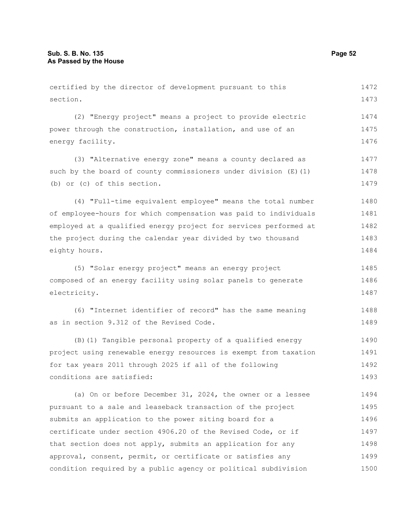certified by the director of development pursuant to this section. (2) "Energy project" means a project to provide electric power through the construction, installation, and use of an energy facility. (3) "Alternative energy zone" means a county declared as such by the board of county commissioners under division  $(E)$  (1) (b) or (c) of this section. (4) "Full-time equivalent employee" means the total number of employee-hours for which compensation was paid to individuals employed at a qualified energy project for services performed at 1472 1473 1474 1475 1476 1477 1478 1479 1480 1481 1482

the project during the calendar year divided by two thousand eighty hours. 1483 1484

(5) "Solar energy project" means an energy project composed of an energy facility using solar panels to generate electricity. 1485 1486 1487

(6) "Internet identifier of record" has the same meaning as in section 9.312 of the Revised Code. 1488 1489

(B)(1) Tangible personal property of a qualified energy project using renewable energy resources is exempt from taxation for tax years 2011 through 2025 if all of the following conditions are satisfied: 1490 1491 1492 1493

(a) On or before December 31, 2024, the owner or a lessee pursuant to a sale and leaseback transaction of the project submits an application to the power siting board for a certificate under section 4906.20 of the Revised Code, or if that section does not apply, submits an application for any approval, consent, permit, or certificate or satisfies any condition required by a public agency or political subdivision 1494 1495 1496 1497 1498 1499 1500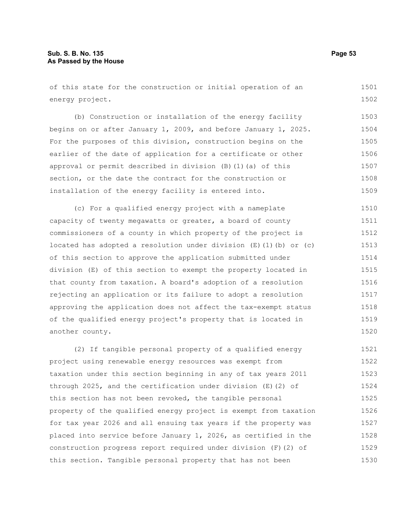of this state for the construction or initial operation of an energy project. 1501 1502

(b) Construction or installation of the energy facility begins on or after January 1, 2009, and before January 1, 2025. For the purposes of this division, construction begins on the earlier of the date of application for a certificate or other approval or permit described in division (B)(1)(a) of this section, or the date the contract for the construction or installation of the energy facility is entered into. 1503 1504 1505 1506 1507 1508 1509

(c) For a qualified energy project with a nameplate capacity of twenty megawatts or greater, a board of county commissioners of a county in which property of the project is located has adopted a resolution under division  $(E)$  (1)(b) or (c) of this section to approve the application submitted under division (E) of this section to exempt the property located in that county from taxation. A board's adoption of a resolution rejecting an application or its failure to adopt a resolution approving the application does not affect the tax-exempt status of the qualified energy project's property that is located in another county. 1510 1511 1512 1513 1514 1515 1516 1517 1518 1519 1520

(2) If tangible personal property of a qualified energy project using renewable energy resources was exempt from taxation under this section beginning in any of tax years 2011 through 2025, and the certification under division (E)(2) of this section has not been revoked, the tangible personal property of the qualified energy project is exempt from taxation for tax year 2026 and all ensuing tax years if the property was placed into service before January 1, 2026, as certified in the construction progress report required under division (F)(2) of this section. Tangible personal property that has not been 1521 1522 1523 1524 1525 1526 1527 1528 1529 1530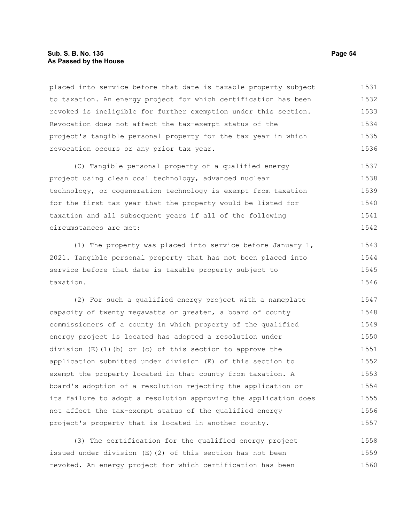# **Sub. S. B. No. 135 Page 54 As Passed by the House**

placed into service before that date is taxable property subject to taxation. An energy project for which certification has been revoked is ineligible for further exemption under this section. Revocation does not affect the tax-exempt status of the project's tangible personal property for the tax year in which revocation occurs or any prior tax year. 1531 1532 1533 1534 1535 1536

(C) Tangible personal property of a qualified energy project using clean coal technology, advanced nuclear technology, or cogeneration technology is exempt from taxation for the first tax year that the property would be listed for taxation and all subsequent years if all of the following circumstances are met: 1537 1538 1539 1540 1541 1542

(1) The property was placed into service before January 1, 2021. Tangible personal property that has not been placed into service before that date is taxable property subject to taxation. 1543 1544 1545 1546

(2) For such a qualified energy project with a nameplate capacity of twenty megawatts or greater, a board of county commissioners of a county in which property of the qualified energy project is located has adopted a resolution under division  $(E)(1)(b)$  or (c) of this section to approve the application submitted under division (E) of this section to exempt the property located in that county from taxation. A board's adoption of a resolution rejecting the application or its failure to adopt a resolution approving the application does not affect the tax-exempt status of the qualified energy project's property that is located in another county. 1547 1548 1549 1550 1551 1552 1553 1554 1555 1556 1557

(3) The certification for the qualified energy project issued under division (E)(2) of this section has not been revoked. An energy project for which certification has been 1558 1559 1560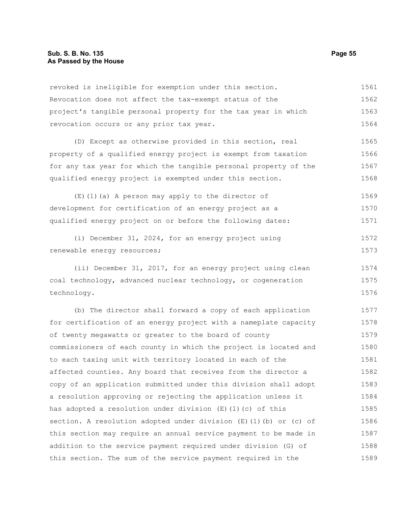revoked is ineligible for exemption under this section. Revocation does not affect the tax-exempt status of the project's tangible personal property for the tax year in which revocation occurs or any prior tax year. 1561 1562 1563 1564

(D) Except as otherwise provided in this section, real property of a qualified energy project is exempt from taxation for any tax year for which the tangible personal property of the qualified energy project is exempted under this section. 1565 1566 1567 1568

(E)(1)(a) A person may apply to the director of development for certification of an energy project as a qualified energy project on or before the following dates: 1569 1570 1571

(i) December 31, 2024, for an energy project using renewable energy resources; 1572 1573

(ii) December 31, 2017, for an energy project using clean coal technology, advanced nuclear technology, or cogeneration technology. 1574 1575 1576

(b) The director shall forward a copy of each application for certification of an energy project with a nameplate capacity of twenty megawatts or greater to the board of county commissioners of each county in which the project is located and to each taxing unit with territory located in each of the affected counties. Any board that receives from the director a copy of an application submitted under this division shall adopt a resolution approving or rejecting the application unless it has adopted a resolution under division  $(E)$  (1)(c) of this section. A resolution adopted under division  $(E)$  (1)(b) or (c) of this section may require an annual service payment to be made in addition to the service payment required under division (G) of this section. The sum of the service payment required in the 1577 1578 1579 1580 1581 1582 1583 1584 1585 1586 1587 1588 1589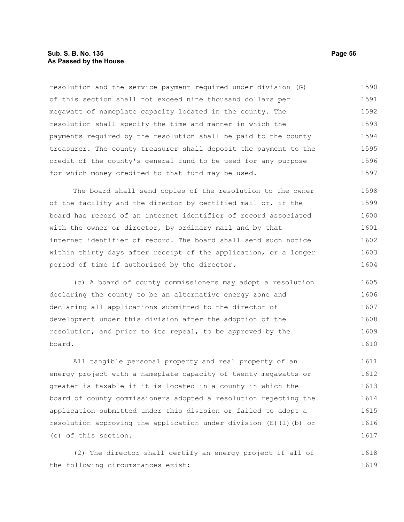# **Sub. S. B. No. 135 Page 56 As Passed by the House**

resolution and the service payment required under division (G) of this section shall not exceed nine thousand dollars per megawatt of nameplate capacity located in the county. The resolution shall specify the time and manner in which the payments required by the resolution shall be paid to the county treasurer. The county treasurer shall deposit the payment to the credit of the county's general fund to be used for any purpose for which money credited to that fund may be used. 1590 1591 1592 1593 1594 1595 1596 1597

The board shall send copies of the resolution to the owner of the facility and the director by certified mail or, if the board has record of an internet identifier of record associated with the owner or director, by ordinary mail and by that internet identifier of record. The board shall send such notice within thirty days after receipt of the application, or a longer period of time if authorized by the director. 1598 1599 1600 1601 1602 1603 1604

(c) A board of county commissioners may adopt a resolution declaring the county to be an alternative energy zone and declaring all applications submitted to the director of development under this division after the adoption of the resolution, and prior to its repeal, to be approved by the board. 1605 1606 1607 1608 1609 1610

All tangible personal property and real property of an energy project with a nameplate capacity of twenty megawatts or greater is taxable if it is located in a county in which the board of county commissioners adopted a resolution rejecting the application submitted under this division or failed to adopt a resolution approving the application under division (E)(1)(b) or (c) of this section. 1611 1612 1613 1614 1615 1616 1617

(2) The director shall certify an energy project if all of the following circumstances exist: 1618 1619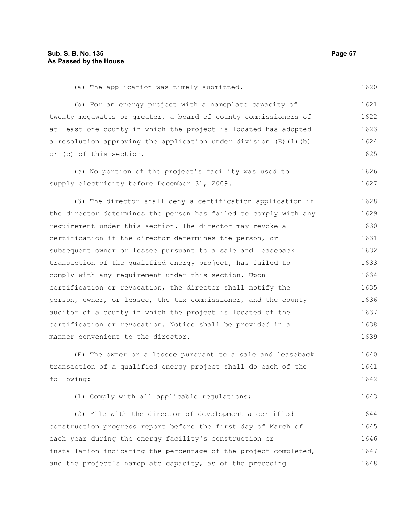1620

(a) The application was timely submitted.

(b) For an energy project with a nameplate capacity of 1621

twenty megawatts or greater, a board of county commissioners of at least one county in which the project is located has adopted a resolution approving the application under division  $(E)$  (1)(b) or (c) of this section. 1622 1623 1624 1625

(c) No portion of the project's facility was used to supply electricity before December 31, 2009. 1626 1627

(3) The director shall deny a certification application if the director determines the person has failed to comply with any requirement under this section. The director may revoke a certification if the director determines the person, or subsequent owner or lessee pursuant to a sale and leaseback transaction of the qualified energy project, has failed to comply with any requirement under this section. Upon certification or revocation, the director shall notify the person, owner, or lessee, the tax commissioner, and the county auditor of a county in which the project is located of the certification or revocation. Notice shall be provided in a manner convenient to the director. 1628 1629 1630 1631 1632 1633 1634 1635 1636 1637 1638 1639

(F) The owner or a lessee pursuant to a sale and leaseback transaction of a qualified energy project shall do each of the following: 1640 1641 1642

(1) Comply with all applicable regulations; 1643

(2) File with the director of development a certified construction progress report before the first day of March of each year during the energy facility's construction or installation indicating the percentage of the project completed, and the project's nameplate capacity, as of the preceding 1644 1645 1646 1647 1648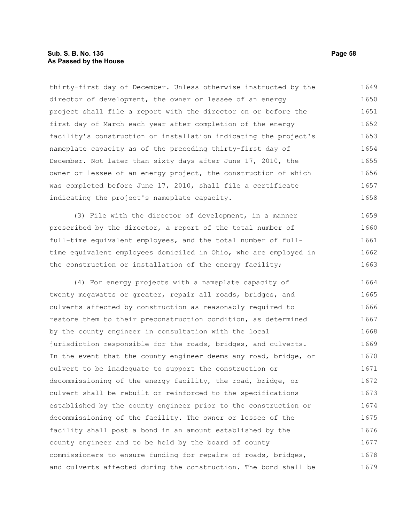# **Sub. S. B. No. 135 Page 58 As Passed by the House**

thirty-first day of December. Unless otherwise instructed by the director of development, the owner or lessee of an energy project shall file a report with the director on or before the first day of March each year after completion of the energy facility's construction or installation indicating the project's nameplate capacity as of the preceding thirty-first day of December. Not later than sixty days after June 17, 2010, the owner or lessee of an energy project, the construction of which was completed before June 17, 2010, shall file a certificate indicating the project's nameplate capacity. 1649 1650 1651 1652 1653 1654 1655 1656 1657 1658

(3) File with the director of development, in a manner prescribed by the director, a report of the total number of full-time equivalent employees, and the total number of fulltime equivalent employees domiciled in Ohio, who are employed in the construction or installation of the energy facility; 1659 1660 1661 1662 1663

(4) For energy projects with a nameplate capacity of twenty megawatts or greater, repair all roads, bridges, and culverts affected by construction as reasonably required to restore them to their preconstruction condition, as determined by the county engineer in consultation with the local jurisdiction responsible for the roads, bridges, and culverts. In the event that the county engineer deems any road, bridge, or culvert to be inadequate to support the construction or decommissioning of the energy facility, the road, bridge, or culvert shall be rebuilt or reinforced to the specifications established by the county engineer prior to the construction or decommissioning of the facility. The owner or lessee of the facility shall post a bond in an amount established by the county engineer and to be held by the board of county commissioners to ensure funding for repairs of roads, bridges, and culverts affected during the construction. The bond shall be 1664 1665 1666 1667 1668 1669 1670 1671 1672 1673 1674 1675 1676 1677 1678 1679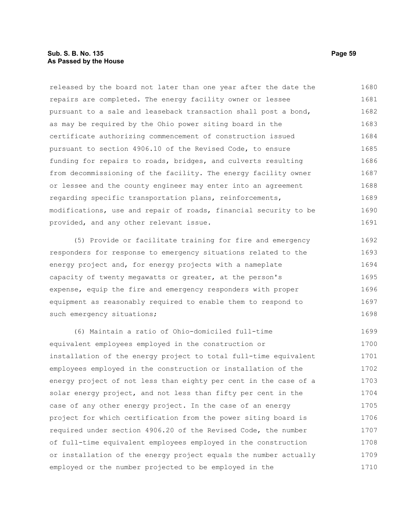# **Sub. S. B. No. 135 Page 59 As Passed by the House**

released by the board not later than one year after the date the repairs are completed. The energy facility owner or lessee pursuant to a sale and leaseback transaction shall post a bond, as may be required by the Ohio power siting board in the certificate authorizing commencement of construction issued pursuant to section 4906.10 of the Revised Code, to ensure funding for repairs to roads, bridges, and culverts resulting from decommissioning of the facility. The energy facility owner or lessee and the county engineer may enter into an agreement regarding specific transportation plans, reinforcements, modifications, use and repair of roads, financial security to be provided, and any other relevant issue. 1680 1681 1682 1683 1684 1685 1686 1687 1688 1689 1690 1691

(5) Provide or facilitate training for fire and emergency responders for response to emergency situations related to the energy project and, for energy projects with a nameplate capacity of twenty megawatts or greater, at the person's expense, equip the fire and emergency responders with proper equipment as reasonably required to enable them to respond to such emergency situations; 1692 1693 1694 1695 1696 1697 1698

(6) Maintain a ratio of Ohio-domiciled full-time equivalent employees employed in the construction or installation of the energy project to total full-time equivalent employees employed in the construction or installation of the energy project of not less than eighty per cent in the case of a solar energy project, and not less than fifty per cent in the case of any other energy project. In the case of an energy project for which certification from the power siting board is required under section 4906.20 of the Revised Code, the number of full-time equivalent employees employed in the construction or installation of the energy project equals the number actually employed or the number projected to be employed in the 1699 1700 1701 1702 1703 1704 1705 1706 1707 1708 1709 1710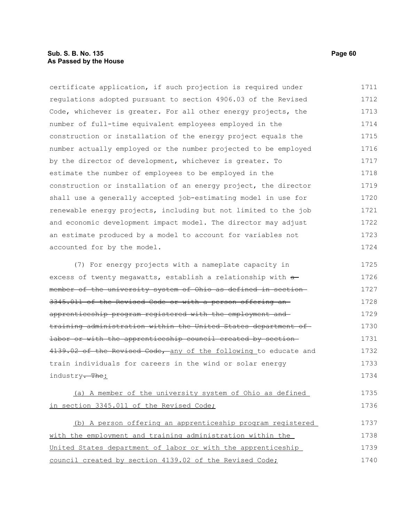# **Sub. S. B. No. 135 Page 60 As Passed by the House**

certificate application, if such projection is required under regulations adopted pursuant to section 4906.03 of the Revised Code, whichever is greater. For all other energy projects, the number of full-time equivalent employees employed in the construction or installation of the energy project equals the number actually employed or the number projected to be employed by the director of development, whichever is greater. To estimate the number of employees to be employed in the construction or installation of an energy project, the director shall use a generally accepted job-estimating model in use for renewable energy projects, including but not limited to the job and economic development impact model. The director may adjust an estimate produced by a model to account for variables not accounted for by the model. (7) For energy projects with a nameplate capacity in excess of twenty megawatts, establish a relationship with  $a$ member of the university system of Ohio as defined in section 1711 1712 1713 1714 1715 1716 1717 1718 1719 1720 1721 1722 1723 1724 1725 1726 1727

3345.011 of the Revised Code or with a person offering an apprenticeship program registered with the employment and training administration within the United States department of labor or with the apprenticeship council created by section 4139.02 of the Revised Code, any of the following to educate and train individuals for careers in the wind or solar energy industry<del>. The</del>: 1728 1729 1730 1731 1732 1733 1734

(a) A member of the university system of Ohio as defined in section 3345.011 of the Revised Code; 1735 1736

(b) A person offering an apprenticeship program registered with the employment and training administration within the United States department of labor or with the apprenticeship council created by section 4139.02 of the Revised Code; 1737 1738 1739 1740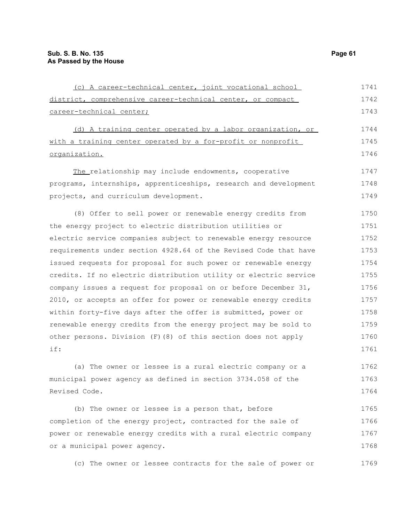| (c) A career-technical center, joint vocational school           | 1741 |
|------------------------------------------------------------------|------|
| district, comprehensive career-technical center, or compact      | 1742 |
| career-technical center;                                         | 1743 |
| (d) A training center operated by a labor organization, or       | 1744 |
| with a training center operated by a for-profit or nonprofit     | 1745 |
| organization.                                                    | 1746 |
| The relationship may include endowments, cooperative             | 1747 |
| programs, internships, apprenticeships, research and development | 1748 |
| projects, and curriculum development.                            | 1749 |
| (8) Offer to sell power or renewable energy credits from         | 1750 |
| the energy project to electric distribution utilities or         | 1751 |
| electric service companies subject to renewable energy resource  | 1752 |
| requirements under section 4928.64 of the Revised Code that have | 1753 |
| issued requests for proposal for such power or renewable energy  | 1754 |
| credits. If no electric distribution utility or electric service | 1755 |
| company issues a request for proposal on or before December 31,  | 1756 |
| 2010, or accepts an offer for power or renewable energy credits  | 1757 |
| within forty-five days after the offer is submitted, power or    | 1758 |
| renewable energy credits from the energy project may be sold to  | 1759 |
| other persons. Division (F) (8) of this section does not apply   | 1760 |
| if:                                                              | 1761 |
| (a) The owner or lessee is a rural electric company or a         | 1762 |
| municipal power agency as defined in section 3734.058 of the     | 1763 |
| Revised Code.                                                    | 1764 |
| (b) The owner or lessee is a person that, before                 | 1765 |

completion of the energy project, contracted for the sale of power or renewable energy credits with a rural electric company or a municipal power agency. 1766 1767 1768

(c) The owner or lessee contracts for the sale of power or 1769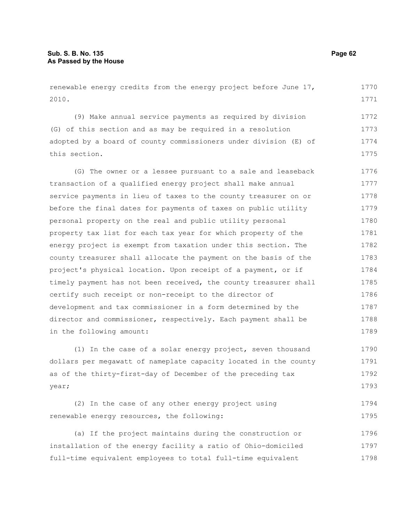renewable energy credits from the energy project before June 17, 2010. (9) Make annual service payments as required by division (G) of this section and as may be required in a resolution adopted by a board of county commissioners under division (E) of this section. (G) The owner or a lessee pursuant to a sale and leaseback transaction of a qualified energy project shall make annual service payments in lieu of taxes to the county treasurer on or before the final dates for payments of taxes on public utility personal property on the real and public utility personal property tax list for each tax year for which property of the energy project is exempt from taxation under this section. The county treasurer shall allocate the payment on the basis of the project's physical location. Upon receipt of a payment, or if timely payment has not been received, the county treasurer shall certify such receipt or non-receipt to the director of development and tax commissioner in a form determined by the director and commissioner, respectively. Each payment shall be in the following amount: 1770 1771 1772 1773 1774 1775 1776 1777 1778 1779 1780 1781 1782 1783 1784 1785 1786 1787 1788 1789

(1) In the case of a solar energy project, seven thousand dollars per megawatt of nameplate capacity located in the county as of the thirty-first-day of December of the preceding tax year; 1790 1791 1792 1793

|                                            | (2) In the case of any other energy project using |  |  | 1794 |
|--------------------------------------------|---------------------------------------------------|--|--|------|
| renewable energy resources, the following: |                                                   |  |  | 1795 |

(a) If the project maintains during the construction or installation of the energy facility a ratio of Ohio-domiciled full-time equivalent employees to total full-time equivalent 1796 1797 1798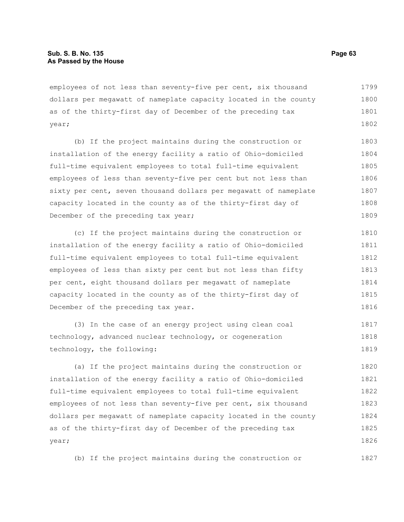employees of not less than seventy-five per cent, six thousand dollars per megawatt of nameplate capacity located in the county as of the thirty-first day of December of the preceding tax year; 1799 1800 1801 1802

(b) If the project maintains during the construction or installation of the energy facility a ratio of Ohio-domiciled full-time equivalent employees to total full-time equivalent employees of less than seventy-five per cent but not less than sixty per cent, seven thousand dollars per megawatt of nameplate capacity located in the county as of the thirty-first day of December of the preceding tax year; 1803 1804 1805 1806 1807 1808 1809

(c) If the project maintains during the construction or installation of the energy facility a ratio of Ohio-domiciled full-time equivalent employees to total full-time equivalent employees of less than sixty per cent but not less than fifty per cent, eight thousand dollars per megawatt of nameplate capacity located in the county as of the thirty-first day of December of the preceding tax year. 1810 1811 1812 1813 1814 1815 1816

(3) In the case of an energy project using clean coal technology, advanced nuclear technology, or cogeneration technology, the following: 1817 1818 1819

(a) If the project maintains during the construction or installation of the energy facility a ratio of Ohio-domiciled full-time equivalent employees to total full-time equivalent employees of not less than seventy-five per cent, six thousand dollars per megawatt of nameplate capacity located in the county as of the thirty-first day of December of the preceding tax year; 1820 1821 1822 1823 1824 1825 1826

(b) If the project maintains during the construction or

1827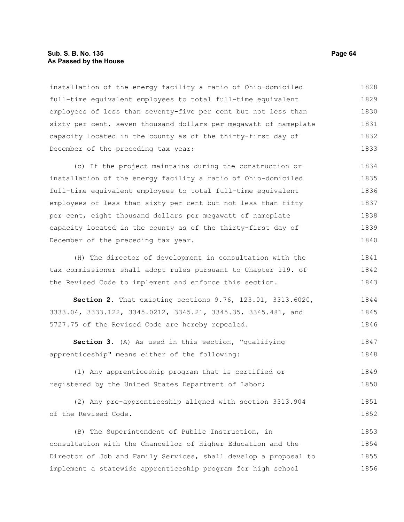# **Sub. S. B. No. 135 Page 64 As Passed by the House**

installation of the energy facility a ratio of Ohio-domiciled full-time equivalent employees to total full-time equivalent employees of less than seventy-five per cent but not less than sixty per cent, seven thousand dollars per megawatt of nameplate capacity located in the county as of the thirty-first day of December of the preceding tax year; 1828 1829 1830 1831 1832 1833

(c) If the project maintains during the construction or installation of the energy facility a ratio of Ohio-domiciled full-time equivalent employees to total full-time equivalent employees of less than sixty per cent but not less than fifty per cent, eight thousand dollars per megawatt of nameplate capacity located in the county as of the thirty-first day of December of the preceding tax year. 1834 1835 1836 1837 1838 1839 1840

(H) The director of development in consultation with the tax commissioner shall adopt rules pursuant to Chapter 119. of the Revised Code to implement and enforce this section. 1841 1842 1843

**Section 2.** That existing sections 9.76, 123.01, 3313.6020, 3333.04, 3333.122, 3345.0212, 3345.21, 3345.35, 3345.481, and 5727.75 of the Revised Code are hereby repealed. 1844 1845 1846

**Section 3.** (A) As used in this section, "qualifying apprenticeship" means either of the following: 1847 1848

(1) Any apprenticeship program that is certified or registered by the United States Department of Labor; 1849 1850

(2) Any pre-apprenticeship aligned with section 3313.904 of the Revised Code. 1851 1852

(B) The Superintendent of Public Instruction, in consultation with the Chancellor of Higher Education and the Director of Job and Family Services, shall develop a proposal to implement a statewide apprenticeship program for high school 1853 1854 1855 1856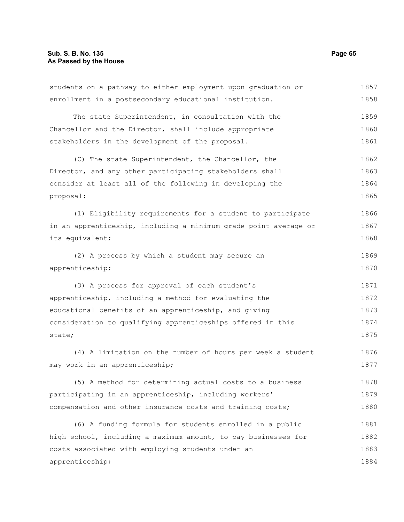students on a pathway to either employment upon graduation or enrollment in a postsecondary educational institution. The state Superintendent, in consultation with the Chancellor and the Director, shall include appropriate stakeholders in the development of the proposal. (C) The state Superintendent, the Chancellor, the Director, and any other participating stakeholders shall consider at least all of the following in developing the proposal: (1) Eligibility requirements for a student to participate in an apprenticeship, including a minimum grade point average or its equivalent; (2) A process by which a student may secure an apprenticeship; (3) A process for approval of each student's apprenticeship, including a method for evaluating the educational benefits of an apprenticeship, and giving consideration to qualifying apprenticeships offered in this state; (4) A limitation on the number of hours per week a student may work in an apprenticeship; (5) A method for determining actual costs to a business participating in an apprenticeship, including workers' compensation and other insurance costs and training costs; (6) A funding formula for students enrolled in a public high school, including a maximum amount, to pay businesses for costs associated with employing students under an apprenticeship; 1857 1858 1859 1860 1861 1862 1863 1864 1865 1866 1867 1868 1869 1870 1871 1872 1873 1874 1875 1876 1877 1878 1879 1880 1881 1882 1883 1884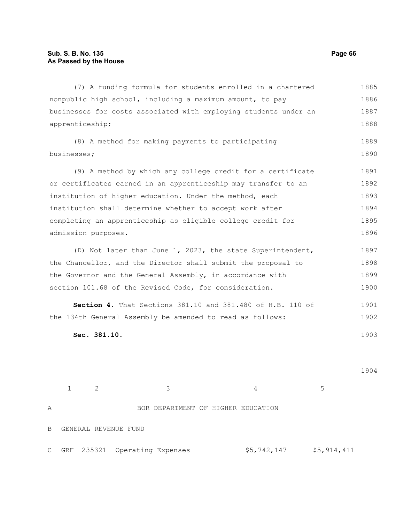(7) A funding formula for students enrolled in a chartered nonpublic high school, including a maximum amount, to pay businesses for costs associated with employing students under an apprenticeship; (8) A method for making payments to participating businesses; (9) A method by which any college credit for a certificate or certificates earned in an apprenticeship may transfer to an institution of higher education. Under the method, each institution shall determine whether to accept work after completing an apprenticeship as eligible college credit for admission purposes. (D) Not later than June 1, 2023, the state Superintendent, the Chancellor, and the Director shall submit the proposal to the Governor and the General Assembly, in accordance with section 101.68 of the Revised Code, for consideration. **Section 4.** That Sections 381.10 and 381.480 of H.B. 110 of the 134th General Assembly be amended to read as follows: **Sec. 381.10.**   $1 \t2 \t3 \t4 \t5$ 1885 1886 1887 1888 1889 1890 1891 1892 1893 1894 1895 1896 1897 1898 1899 1900 1901 1902 1903 1904

A BOR DEPARTMENT OF HIGHER EDUCATION B GENERAL REVENUE FUND C GRF 235321 Operating Expenses  $$5,742,147$  \$5,914,411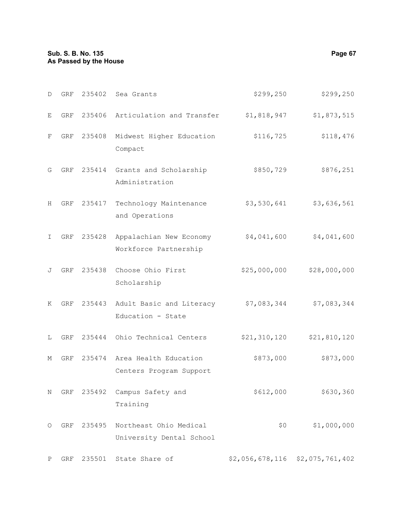| D  | GRF | 235402 | Sea Grants                                         | \$299,250       | \$299,250       |
|----|-----|--------|----------------------------------------------------|-----------------|-----------------|
| Е  | GRF | 235406 | Articulation and Transfer                          | \$1,818,947     | \$1,873,515     |
| F  | GRF | 235408 | Midwest Higher Education<br>Compact                | \$116,725       | \$118,476       |
| G  | GRF |        | 235414 Grants and Scholarship<br>Administration    | \$850,729       | \$876,251       |
| Н  | GRF | 235417 | Technology Maintenance<br>and Operations           | \$3,530,641     | \$3,636,561     |
| I. | GRF | 235428 | Appalachian New Economy<br>Workforce Partnership   | \$4,041,600     | \$4,041,600     |
| J  | GRF | 235438 | Choose Ohio First<br>Scholarship                   | \$25,000,000    | \$28,000,000    |
| K  | GRF | 235443 | Adult Basic and Literacy<br>Education - State      | \$7,083,344     | \$7,083,344     |
| L  | GRF | 235444 | Ohio Technical Centers                             | \$21, 310, 120  | \$21,810,120    |
| М  | GRF | 235474 | Area Health Education<br>Centers Program Support   | \$873,000       | \$873,000       |
| Ν  | GRF | 235492 | Campus Safety and<br>Training                      | \$612,000       | \$630,360       |
| O  | GRF | 235495 | Northeast Ohio Medical<br>University Dental School | \$0\$           | \$1,000,000     |
| Ρ  | GRF | 235501 | State Share of                                     | \$2,056,678,116 | \$2,075,761,402 |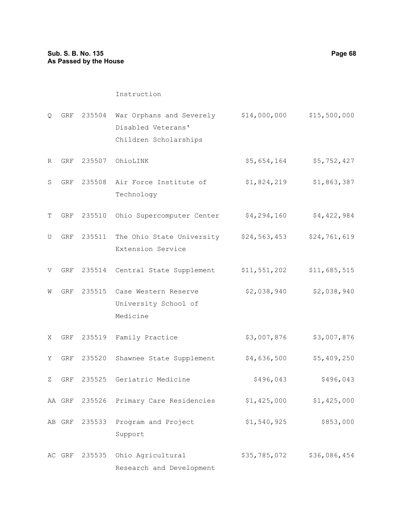## Instruction

- Q GRF 235504 War Orphans and Severely \$14,000,000 \$15,500,000 Disabled Veterans' Children Scholarships
- R GRF 235507 OhioLINK  $$5,654,164$  \$5,752,427
- S GRF 235508 Air Force Institute of Technology \$1,824,219 \$1,863,387
- T GRF 235510 Ohio Supercomputer Center \$4,294,160 \$4,422,984
- U GRF 235511 The Ohio State University \$24,563,453 \$24,761,619 Extension Service
- V GRF 235514 Central State Supplement \$11,551,202 \$11,685,515
- W GRF 235515 Case Western Reserve University School of Medicine \$2,038,940 \$2,038,940
- X GRF 235519 Family Practice  $$3,007,876$  \$3,007,876
- Y GRF 235520 Shawnee State Supplement  $$4,636,500$  \$5,409,250
- Z GRF 235525 Geriatric Medicine  $$496,043$  \$496,043
- AA GRF 235526 Primary Care Residencies  $$1,425,000$  \$1,425,000
- AB GRF 235533 Program and Project Support \$1,540,925 \$853,000

AC GRF 235535 Ohio Agricultural Research and Development \$35,785,072 \$36,086,454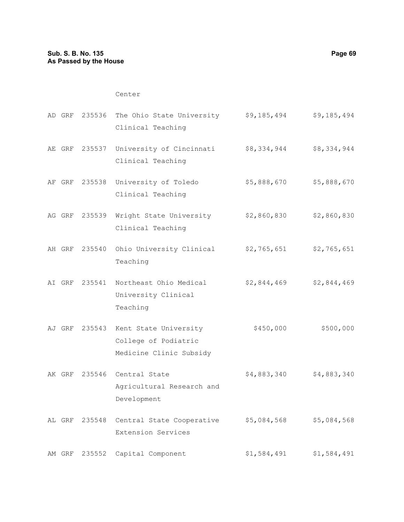# Center

| AD GRF |        | 235536 The Ohio State University<br>Clinical Teaching                           | \$9,185,494 | \$9,185,494 |
|--------|--------|---------------------------------------------------------------------------------|-------------|-------------|
|        |        | AE GRF 235537 University of Cincinnati<br>Clinical Teaching                     | \$8,334,944 | \$8,334,944 |
|        |        | AF GRF 235538 University of Toledo<br>Clinical Teaching                         | \$5,888,670 | \$5,888,670 |
|        |        | AG GRF 235539 Wright State University<br>Clinical Teaching                      | \$2,860,830 | \$2,860,830 |
| AH GRF |        | 235540 Ohio University Clinical<br>Teaching                                     | \$2,765,651 | \$2,765,651 |
| AI GRF |        | 235541 Northeast Ohio Medical<br>University Clinical<br>Teaching                | \$2,844,469 | \$2,844,469 |
| AJ GRF |        | 235543 Kent State University<br>College of Podiatric<br>Medicine Clinic Subsidy | \$450,000   | \$500,000   |
|        |        | AK GRF 235546 Central State<br>Agricultural Research and<br>Development         | \$4,883,340 | \$4,883,340 |
| AL GRF |        | 235548 Central State Cooperative<br>Extension Services                          | \$5,084,568 | \$5,084,568 |
| AM GRF | 235552 | Capital Component                                                               | \$1,584,491 | \$1,584,491 |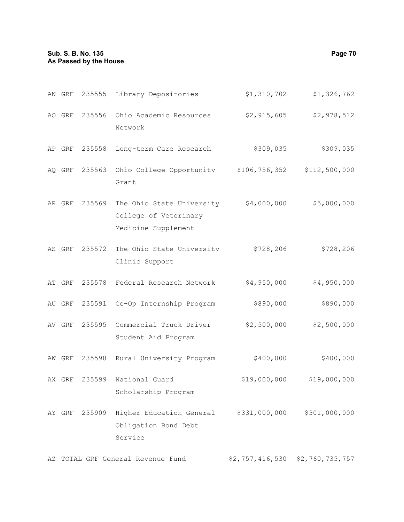# **Sub. S. B. No. 135 Page 70 As Passed by the House**

| AN GRF |               | 235555 Library Depositories                                               | \$1,310,702   | \$1,326,762   |
|--------|---------------|---------------------------------------------------------------------------|---------------|---------------|
| AO GRF | 235556        | Ohio Academic Resources<br>Network                                        | \$2,915,605   | \$2,978,512   |
| AP GRF | 235558        | Long-term Care Research                                                   | \$309,035     | \$309,035     |
|        | AQ GRF 235563 | Ohio College Opportunity \$106,756,352 \$112,500,000<br>Grant             |               |               |
| AR GRF | 235569        | The Ohio State University<br>College of Veterinary<br>Medicine Supplement | \$4,000,000   | \$5,000,000   |
| AS GRF |               | 235572 The Ohio State University<br>Clinic Support                        | \$728,206     | \$728,206     |
| AT GRF |               | 235578 Federal Research Network                                           | \$4,950,000   | \$4,950,000   |
| AU GRF |               | 235591 Co-Op Internship Program                                           | \$890,000     | \$890,000     |
| AV GRF |               | 235595 Commercial Truck Driver<br>Student Aid Program                     | \$2,500,000   | \$2,500,000   |
| AW GRF | 235598        | Rural University Program                                                  | \$400,000     | \$400,000     |
| AX GRF | 235599        | National Guard<br>Scholarship Program                                     | \$19,000,000  | \$19,000,000  |
| AY GRF | 235909        | Higher Education General<br>Obligation Bond Debt<br>Service               | \$331,000,000 | \$301,000,000 |

AZ TOTAL GRF General Revenue Fund \$2,757,416,530 \$2,760,735,757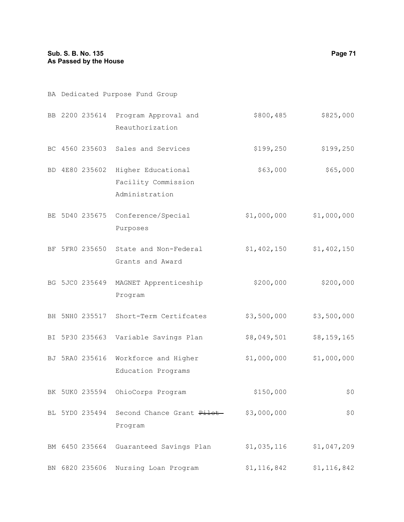| BA Dedicated Purpose Fund Group |                |                                                                            |             |             |  |  |
|---------------------------------|----------------|----------------------------------------------------------------------------|-------------|-------------|--|--|
|                                 |                | BB 2200 235614 Program Approval and<br>Reauthorization                     | \$800, 485  | \$825,000   |  |  |
|                                 |                | BC 4560 235603 Sales and Services                                          | \$199, 250  | \$199,250   |  |  |
|                                 |                | BD 4E80 235602 Higher Educational<br>Facility Commission<br>Administration | \$63,000    | \$65,000    |  |  |
|                                 |                | BE 5D40 235675 Conference/Special<br>Purposes                              | \$1,000,000 | \$1,000,000 |  |  |
|                                 |                | BF 5FR0 235650 State and Non-Federal<br>Grants and Award                   | \$1,402,150 | \$1,402,150 |  |  |
|                                 | BG 5JC0 235649 | MAGNET Apprenticeship<br>Program                                           | \$200,000   | \$200,000   |  |  |
|                                 |                | BH 5NH0 235517 Short-Term Certifcates                                      | \$3,500,000 | \$3,500,000 |  |  |
|                                 |                | BI 5P30 235663 Variable Savings Plan                                       | \$8,049,501 | \$8,159,165 |  |  |
|                                 |                | BJ 5RA0 235616 Workforce and Higher<br>Education Programs                  | \$1,000,000 | \$1,000,000 |  |  |
|                                 | BK 5UK0 235594 | OhioCorps Program                                                          | \$150,000   | \$0         |  |  |
|                                 | BL 5YD0 235494 | Second Chance Grant Pilot<br>Program                                       | \$3,000,000 | \$0         |  |  |
|                                 | BM 6450 235664 | Guaranteed Savings Plan                                                    | \$1,035,116 | \$1,047,209 |  |  |
|                                 | BN 6820 235606 | Nursing Loan Program                                                       | \$1,116,842 | \$1,116,842 |  |  |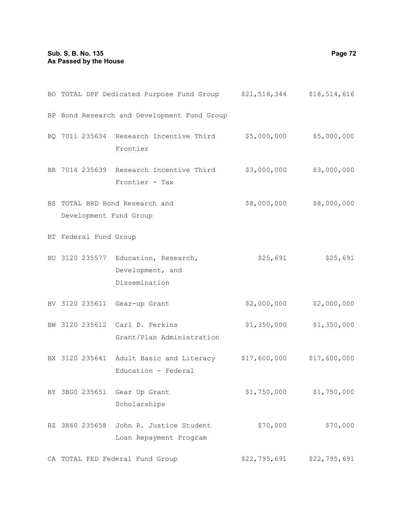# **Sub. S. B. No. 135 Page 72 As Passed by the House**

|                        | BO TOTAL DPF Dedicated Purpose Fund Group \$21,516,344 \$18,514,616               |              |                           |
|------------------------|-----------------------------------------------------------------------------------|--------------|---------------------------|
|                        | BP Bond Research and Development Fund Group                                       |              |                           |
|                        | BQ 7011 235634 Research Incentive Third \$5,000,000 \$5,000,000<br>Frontier       |              |                           |
|                        | BR 7014 235639 Research Incentive Third \$3,000,000 \$3,000,000<br>Frontier - Tax |              |                           |
| Development Fund Group | BS TOTAL BRD Bond Research and                                                    |              | \$8,000,000 \$8,000,000   |
| BT Federal Fund Group  |                                                                                   |              |                           |
|                        | BU 3120 235577 Education, Research,<br>Development, and<br>Dissemination          | \$25,691     | \$25,691                  |
|                        | BV 3120 235611 Gear-up Grant                                                      | \$2,000,000  | \$2,000,000               |
|                        | BW 3120 235612 Carl D. Perkins<br>Grant/Plan Administration                       |              | $$1,350,000$ $$1,350,000$ |
|                        | BX 3120 235641 Adult Basic and Literacy \$17,600,000<br>Education - Federal       |              | \$17,600,000              |
| BY 3BG0 235651         | Gear Up Grant<br>Scholarships                                                     | \$1,750,000  | \$1,750,000               |
| BZ 3N60 235658         | John R. Justice Student<br>Loan Repayment Program                                 | \$70,000     | \$70,000                  |
|                        | CA TOTAL FED Federal Fund Group                                                   | \$22,795,691 | \$22,795,691              |